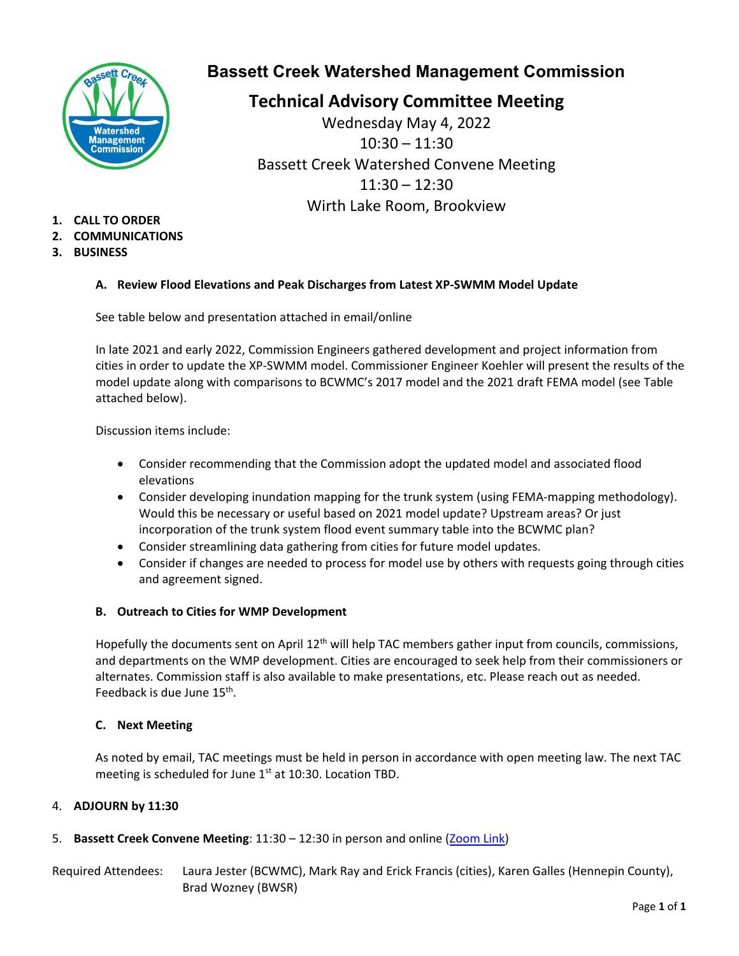

## **Bassett Creek Watershed Management Commission**

**Technical Advisory Committee Meeting**

Wednesday May 4, 2022 10:30 – 11:30 Bassett Creek Watershed Convene Meeting  $11:30 - 12:30$ Wirth Lake Room, Brookview

- **1. CALL TO ORDER**
- **2. COMMUNICATIONS**
- **3. BUSINESS**

## **A. Review Flood Elevations and Peak Discharges from Latest XP-SWMM Model Update**

See table below and presentation attached in email/online

In late 2021 and early 2022, Commission Engineers gathered development and project information from cities in order to update the XP-SWMM model. Commissioner Engineer Koehler will present the results of the model update along with comparisons to BCWMC's 2017 model and the 2021 draft FEMA model (see Table attached below).

Discussion items include:

- Consider recommending that the Commission adopt the updated model and associated flood elevations
- Consider developing inundation mapping for the trunk system (using FEMA-mapping methodology). Would this be necessary or useful based on 2021 model update? Upstream areas? Or just incorporation of the trunk system flood event summary table into the BCWMC plan?
- Consider streamlining data gathering from cities for future model updates.
- Consider if changes are needed to process for model use by others with requests going through cities and agreement signed.

### **B. Outreach to Cities for WMP Development**

Hopefully the documents sent on April 12<sup>th</sup> will help TAC members gather input from councils, commissions, and departments on the WMP development. Cities are encouraged to seek help from their commissioners or alternates. Commission staff is also available to make presentations, etc. Please reach out as needed. Feedback is due June 15<sup>th</sup>.

## **C. Next Meeting**

As noted by email, TAC meetings must be held in person in accordance with open meeting law. The next TAC meeting is scheduled for June 1<sup>st</sup> at 10:30. Location TBD.

## 4. **ADJOURN by 11:30**

## 5. **Bassett Creek Convene Meeting**: 11:30 – 12:30 in person and online [\(Zoom Link\)](https://us02web.zoom.us/j/89703789808)

Required Attendees: Laura Jester (BCWMC), Mark Ray and Erick Francis (cities), Karen Galles (Hennepin County), Brad Wozney (BWSR)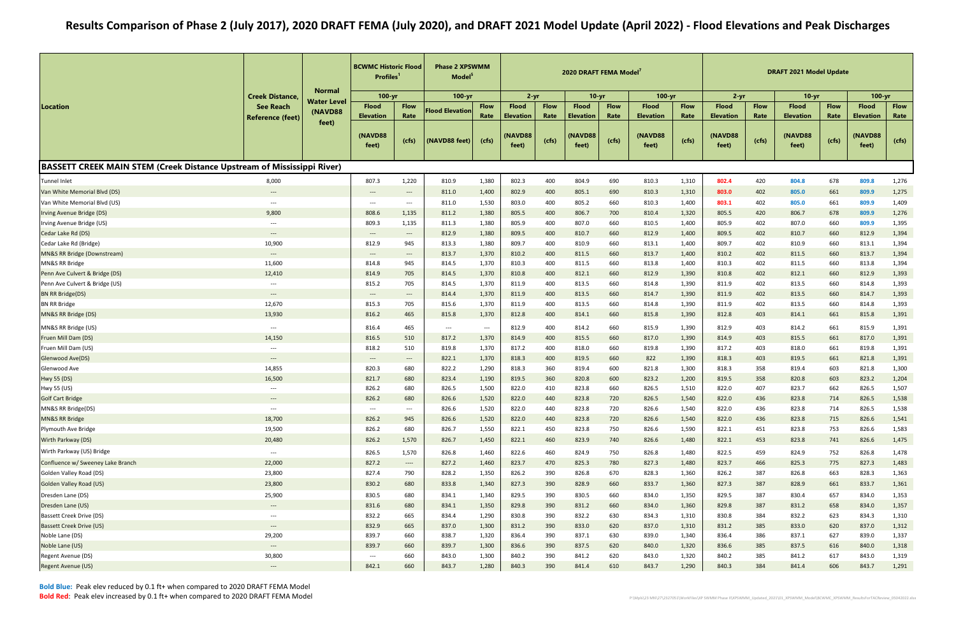|                                                                               |                                          | <b>Normal</b> | <b>BCWMC Historic Flood</b><br>Profiles <sup>1</sup> |                                                               | <b>Phase 2 XPSWMM</b><br>Model <sup>5</sup> |                                   | $2 - yr$                         |                     | 2020 DRAFT FEMA Model            |                     |                                  |                     | $2 - yr$                         |                     | <b>DRAFT 2021 Model Update</b><br>$10 - yr$ |                     |                                  |                     |
|-------------------------------------------------------------------------------|------------------------------------------|---------------|------------------------------------------------------|---------------------------------------------------------------|---------------------------------------------|-----------------------------------|----------------------------------|---------------------|----------------------------------|---------------------|----------------------------------|---------------------|----------------------------------|---------------------|---------------------------------------------|---------------------|----------------------------------|---------------------|
|                                                                               | <b>Creek Distance,</b>                   | Water Level   | $100 - yr$                                           |                                                               | 100-yr                                      |                                   |                                  |                     | $10 - yr$                        |                     | $100 - yr$                       |                     |                                  |                     |                                             |                     | $100 - yr$                       |                     |
| Location                                                                      | <b>See Reach</b>                         | (NAVD88       | <b>Flood</b><br><b>Elevation</b>                     | <b>Flow</b><br>Rate                                           | <b>Flood Elevation</b>                      | <b>Flow</b><br>Rate               | <b>Flood</b><br><b>Elevation</b> | <b>Flow</b><br>Rate | <b>Flood</b><br><b>Elevation</b> | <b>Flow</b><br>Rate | <b>Flood</b><br><b>Elevation</b> | <b>Flow</b><br>Rate | <b>Flood</b><br><b>Elevation</b> | <b>Flow</b><br>Rate | <b>Flood</b><br><b>Elevation</b>            | <b>Flow</b><br>Rate | <b>Flood</b><br><b>Elevation</b> | <b>Flow</b><br>Rate |
|                                                                               | <b>Reference (feet)</b>                  | feet)         | (NAVD88<br>feet)                                     | (cfs)                                                         | (NAVD88 feet)                               | (cfs)                             | (NAVD88<br>feet)                 | (cfs)               | NAVD88<br>feet)                  | (cfs)               | (NAVD88<br>feet)                 | (cfs)               | (NAVD88<br>feet)                 | (cfs)               | (NAVD88<br>feet)                            | (cfs)               | <b>(NAVD88</b><br>feet)          | (cfs)               |
| <b>BASSETT CREEK MAIN STEM (Creek Distance Upstream of Mississippi River)</b> |                                          |               |                                                      |                                                               |                                             |                                   |                                  |                     |                                  |                     |                                  |                     |                                  |                     |                                             |                     |                                  |                     |
| Tunnel Inlet                                                                  | 8,000                                    |               | 807.3                                                | 1,220                                                         | 810.9                                       | 1,380                             | 802.3                            | 400                 | 804.9                            | 690                 | 810.3                            | 1,310               | 802.4                            | 420                 | 804.8                                       | 678                 | 809.8                            | 1,276               |
| Van White Memorial Blvd (DS)                                                  | $\overline{\phantom{a}}$                 |               | $\overline{\phantom{a}}$                             | $\hspace{0.1em} \dashrightarrow$                              | 811.0                                       | 1,400                             | 802.9                            | 400                 | 805.1                            | 690                 | 810.3                            | 1,310               | 803.0                            | 402                 | 805.0                                       | 661                 | 809.9                            | 1,275               |
| Van White Memorial Blvd (US)                                                  | $\qquad \qquad -\qquad -$                |               | $---$                                                | $---$                                                         | 811.0                                       | 1,530                             | 803.0                            | 400                 | 805.2                            | 660                 | 810.3                            | 1,400               | 803.1                            | 402                 | 805.0                                       | 661                 | 809.9                            | 1,409               |
| Irving Avenue Bridge (DS)                                                     | 9,800                                    |               | 808.6                                                | 1,135                                                         | 811.2                                       | 1,380                             | 805.5                            | 400                 | 806.7                            | 700                 | 810.4                            | 1,320               | 805.5                            | 420                 | 806.7                                       | 678                 | 809.9                            | 1,276               |
| Irving Avenue Bridge (US)                                                     | $---$                                    |               | 809.3                                                | 1,135                                                         | 811.3                                       | 1,380                             | 805.9                            | 400                 | 807.0                            | 660                 | 810.5                            | 1,400               | 805.9                            | 402                 | 807.0                                       | 660                 | 809.9                            | 1,395               |
| Cedar Lake Rd (DS)                                                            | $---$                                    |               | $\qquad \qquad - -$                                  | $---$                                                         | 812.9                                       | 1,380                             | 809.5                            | 400                 | 810.7                            | 660                 | 812.9                            | 1,400               | 809.5                            | 402                 | 810.7                                       | 660                 | 812.9                            | 1,394               |
| Cedar Lake Rd (Bridge)                                                        | 10,900                                   |               | 812.9                                                | 945                                                           | 813.3                                       | 1,380                             | 809.7                            | 400                 | 810.9                            | 660                 | 813.1                            | 1,400               | 809.7                            | 402                 | 810.9                                       | 660                 | 813.1                            | 1,394               |
| MN&S RR Bridge (Downstream)                                                   | $\qquad \qquad - -$                      |               | $\hspace{0.05cm} \ldots$                             | $\hspace{0.1em}-\hspace{0.1em}-\hspace{0.1em}-\hspace{0.1em}$ | 813.7                                       | 1,370                             | 810.2                            | 400                 | 811.5                            | 660                 | 813.7                            | 1,400               | 810.2                            | 402                 | 811.5                                       | 660                 | 813.7                            | 1,394               |
| MN&S RR Bridge                                                                | 11,600                                   |               | 814.8                                                | 945                                                           | 814.5                                       | 1,370                             | 810.3                            | 400                 | 811.5                            | 660                 | 813.8                            | 1,400               | 810.3                            | 402                 | 811.5                                       | 660                 | 813.8                            | 1,394               |
| Penn Ave Culvert & Bridge (DS)                                                | 12,410                                   |               | 814.9                                                | 705                                                           | 814.5                                       | 1,370                             | 810.8                            | 400                 | 812.1                            | 660                 | 812.9                            | 1,390               | 810.8                            | 402                 | 812.1                                       | 660                 | 812.9                            | 1,393               |
| Penn Ave Culvert & Bridge (US)                                                | $\qquad \qquad -\qquad -$                |               | 815.2                                                | 705                                                           | 814.5                                       | 1,370                             | 811.9                            | 400                 | 813.5                            | 660                 | 814.8                            | 1,390               | 811.9                            | 402                 | 813.5                                       | 660                 | 814.8                            | 1,393               |
| <b>BN RR Bridge(DS)</b>                                                       | $\hspace{0.05cm} \ldots \hspace{0.05cm}$ |               | $---$                                                | $\hspace{0.1em} \ldots$                                       | 814.4                                       | 1,370                             | 811.9                            | 400                 | 813.5                            | 660                 | 814.7                            | 1,390               | 811.9                            | 402                 | 813.5                                       | 660                 | 814.7                            | 1,393               |
| <b>BN RR Bridge</b>                                                           | 12,670                                   |               | 815.3                                                | 705                                                           | 815.6                                       | 1,370                             | 811.9                            | 400                 | 813.5                            | 660                 | 814.8                            | 1,390               | 811.9                            | 402                 | 813.5                                       | 660                 | 814.8                            | 1,393               |
| MN&S RR Bridge (DS)                                                           | 13,930                                   |               | 816.2                                                | 465                                                           | 815.8                                       | 1,370                             | 812.8                            | 400                 | 814.1                            | 660                 | 815.8                            | 1,390               | 812.8                            | 403                 | 814.1                                       | 661                 | 815.8                            | 1,391               |
| MN&S RR Bridge (US)                                                           | $\hspace{0.05cm} \ldots \hspace{0.05cm}$ |               | 816.4                                                | 465                                                           | ---                                         | $\hspace{0.05cm} \dashrightarrow$ | 812.9                            | 400                 | 814.2                            | 660                 | 815.9                            | 1,390               | 812.9                            | 403                 | 814.2                                       | 661                 | 815.9                            | 1,391               |
| Fruen Mill Dam (DS)                                                           | 14,150                                   |               | 816.5                                                | 510                                                           | 817.2                                       | 1,370                             | 814.9                            | 400                 | 815.5                            | 660                 | 817.0                            | 1,390               | 814.9                            | 403                 | 815.5                                       | 661                 | 817.0                            | 1,391               |
| Fruen Mill Dam (US)                                                           | $---$                                    |               | 818.2                                                | 510                                                           | 819.8                                       | 1,370                             | 817.2                            | 400                 | 818.0                            | 660                 | 819.8                            | 1,390               | 817.2                            | 403                 | 818.0                                       | 661                 | 819.8                            | 1,391               |
| Glenwood Ave(DS)                                                              | $\hspace{0.05cm} \ldots \hspace{0.05cm}$ |               | $\hspace{0.05cm} \dashrightarrow$                    | $\hspace{0.1em}-\hspace{0.1em}-\hspace{0.1em}-\hspace{0.1em}$ | 822.1                                       | 1,370                             | 818.3                            | 400                 | 819.5                            | 660                 | 822                              | 1,390               | 818.3                            | 403                 | 819.5                                       | 661                 | 821.8                            | 1,391               |
| Glenwood Ave                                                                  | 14,855                                   |               | 820.3                                                | 680                                                           | 822.2                                       | 1,290                             | 818.3                            | 360                 | 819.4                            | 600                 | 821.8                            | 1,300               | 818.3                            | 358                 | 819.4                                       | 603                 | 821.8                            | 1,300               |
| Hwy 55 (DS)                                                                   | 16,500                                   |               | 821.7                                                | 680                                                           | 823.4                                       | 1,190                             | 819.5                            | 360                 | 820.8                            | 600                 | 823.2                            | 1,200               | 819.5                            | 358                 | 820.8                                       | 603                 | 823.2                            | 1,204               |
| Hwy 55 (US)                                                                   | $\overline{\phantom{a}}$                 |               | 826.2                                                | 680                                                           | 826.5                                       | 1,500                             | 822.0                            | 410                 | 823.8                            | 660                 | 826.5                            | 1,510               | 822.0                            | 407                 | 823.7                                       | 662                 | 826.5                            | 1,507               |
| <b>Golf Cart Bridge</b>                                                       |                                          |               | 826.2                                                | 680                                                           | 826.6                                       | 1,520                             | 822.0                            | 440                 | 823.8                            | 720                 | 826.5                            | 1,540               | 822.0                            | 436                 | 823.8                                       | 714                 | 826.5                            | 1,538               |
| MN&S RR Bridge(DS)                                                            | $\hspace{0.05cm} \ldots \hspace{0.05cm}$ |               | $---$                                                | $\hspace{0.05cm} \ldots$                                      | 826.6                                       | 1,520                             | 822.0                            | 440                 | 823.8                            | 720                 | 826.6                            | 1,540               | 822.0                            | 436                 | 823.8                                       | 714                 | 826.5                            | 1,538               |
| MN&S RR Bridge                                                                | 18,700                                   |               | 826.2                                                | 945                                                           | 826.6                                       | 1,520                             | 822.0                            | 440                 | 823.8                            | 720                 | 826.6                            | 1,540               | 822.0                            | 436                 | 823.8                                       | 715                 | 826.6                            | 1,541               |
| Plymouth Ave Bridge                                                           | 19,500                                   |               | 826.2                                                | 680                                                           | 826.7                                       | 1,550                             | 822.1                            | 450                 | 823.8                            | 750                 | 826.6                            | 1,590               | 822.1                            | 451                 | 823.8                                       | 753                 | 826.6                            | 1,583               |
| Wirth Parkway (DS)                                                            | 20,480                                   |               | 826.2                                                | 1,570                                                         | 826.7                                       | 1,450                             | 822.1                            | 460                 | 823.9                            | 740                 | 826.6                            | 1,480               | 822.1                            | 453                 | 823.8                                       | 741                 | 826.6                            | 1,475               |
| Wirth Parkway (US) Bridge                                                     | $\hspace{0.05cm}---$                     |               | 826.5                                                | 1,570                                                         | 826.8                                       | 1,460                             | 822.6                            | 460                 | 824.9                            | 750                 | 826.8                            | 1,480               | 822.5                            | 459                 | 824.9                                       | 752                 | 826.8                            | 1,478               |
| Confluence w/ Sweeney Lake Branch                                             | 22,000                                   |               | 827.2                                                | $\qquad \qquad - - - -$                                       | 827.2                                       | 1,460                             | 823.7                            | 470                 | 825.3                            | 780                 | 827.3                            | 1,480               | 823.7                            | 466                 | 825.3                                       | 775                 | 827.3                            | 1,483               |
| Golden Valley Road (DS)                                                       | 23,800                                   |               | 827.4                                                | 790                                                           | 828.2                                       | 1,350                             | 826.2                            | 390                 | 826.8                            | 670                 | 828.3                            | 1,360               | 826.2                            | 387                 | 826.8                                       | 663                 | 828.3                            | 1,363               |
| <b>Golden Valley Road (US)</b>                                                | 23,800                                   |               | 830.2                                                | 680                                                           | 833.8                                       | 1,340                             | 827.3                            | 390                 | 828.9                            | 660                 | 833.7                            | 1,360               | 827.3                            | 387                 | 828.9                                       | 661                 | 833.7                            | 1,361               |
| Dresden Lane (DS)                                                             | 25,900                                   |               | 830.5                                                | 680                                                           | 834.1                                       | 1,340                             | 829.5                            | 390                 | 830.5                            | 660                 | 834.0                            | 1,350               | 829.5                            | 387                 | 830.4                                       | 657                 | 834.0                            | 1,353               |
| Dresden Lane (US)                                                             | $\hspace{0.05cm} \dashrightarrow$        |               | 831.6                                                | 680                                                           | 834.1                                       | 1,350                             | 829.8                            | 390                 | 831.2                            | 660                 | 834.0                            | 1,360               | 829.8                            | 387                 | 831.2                                       | 658                 | 834.0                            | 1,357               |
| <b>Bassett Creek Drive (DS)</b>                                               | $\hspace{0.05cm} \dashrightarrow$        |               | 832.2                                                | 665                                                           | 834.4                                       | 1,290                             | 830.8                            | 390                 | 832.2                            | 630                 | 834.3                            | 1,310               | 830.8                            | 384                 | 832.2                                       | 623                 | 834.3                            | 1,310               |
| <b>Bassett Creek Drive (US)</b>                                               | $\hspace{0.05cm} \ldots \hspace{0.05cm}$ |               | 832.9                                                | 665                                                           | 837.0                                       | 1,300                             | 831.2                            | 390                 | 833.0                            | 620                 | 837.0                            | 1,310               | 831.2                            | 385                 | 833.0                                       | 620                 | 837.0                            | 1,312               |
| Noble Lane (DS)                                                               | 29,200                                   |               | 839.7                                                | 660                                                           | 838.7                                       | 1,320                             | 836.4                            | 390                 | 837.1                            | 630                 | 839.0                            | 1,340               | 836.4                            | 386                 | 837.1                                       | 627                 | 839.0                            | 1,337               |
| Noble Lane (US)                                                               | $\hspace{0.05cm} \dashrightarrow$        |               | 839.7                                                | 660                                                           | 839.7                                       | 1,300                             | 836.6                            | 390                 | 837.5                            | 620                 | 840.0                            | 1,320               | 836.6                            | 385                 | 837.5                                       | 616                 | 840.0                            | 1,318               |
| Regent Avenue (DS)                                                            | 30,800                                   |               | $\hspace{0.05cm} \dashrightarrow$                    | 660                                                           | 843.0                                       | 1,300                             | 840.2                            | 390                 | 841.2                            | 620                 | 843.0                            | 1,320               | 840.2                            | 385                 | 841.2                                       | 617                 | 843.0                            | 1,319               |
| Regent Avenue (US)                                                            | $\hspace{0.05cm} \cdots$                 |               | 842.1                                                | 660                                                           | 843.7                                       | 1,280                             | 840.3                            | 390                 | 841.4                            | 610                 | 843.7                            | 1,290               | 840.3                            | 384                 | 841.4                                       | 606                 | 843.7                            | 1,291               |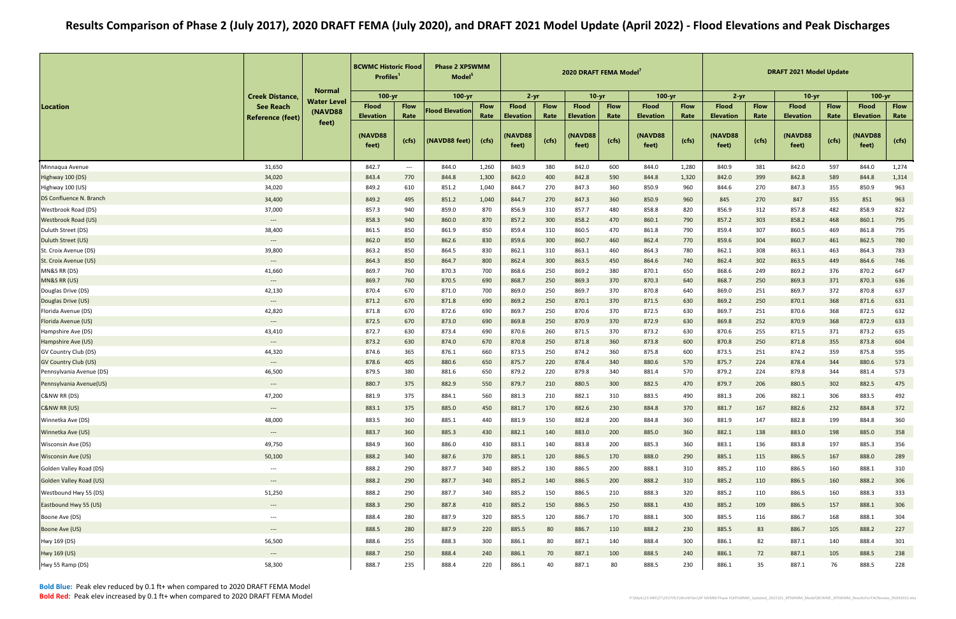|                                          |                                             |                               | <b>BCWMC Historic Flood</b><br><b>Profiles</b> |                          | <b>Phase 2 XPSWMM</b><br>Model <sup>5</sup> |                     |                                              |               | 2020 DRAFT FEMA Model <sup>7</sup>  |               |                                      |               |                                      |               | <b>DRAFT 2021 Model Update</b><br>$10-yr$ |               |                                      |               |
|------------------------------------------|---------------------------------------------|-------------------------------|------------------------------------------------|--------------------------|---------------------------------------------|---------------------|----------------------------------------------|---------------|-------------------------------------|---------------|--------------------------------------|---------------|--------------------------------------|---------------|-------------------------------------------|---------------|--------------------------------------|---------------|
|                                          | <b>Creek Distance,</b>                      | <b>Normal</b>                 | $100 - yr$                                     |                          | $100 - yr$                                  |                     | $2 - yr$                                     |               | $10 - vr$                           |               | $100 - yr$                           |               | $2 - yr$                             |               |                                           |               | $100 - yr$                           |               |
| Location                                 | <b>See Reach</b>                            | <b>Water Level</b><br>(NAVD88 | <b>Flood</b>                                   | <b>Flow</b><br>Rate      | <b>Flood Elevation</b>                      | <b>Flow</b><br>Rate | <b>Flood</b>                                 | <b>Flow</b>   | <b>Flood</b>                        | <b>Flow</b>   | <b>Flood</b>                         | <b>Flow</b>   | <b>Flood</b>                         | <b>Flow</b>   | <b>Flood</b>                              | <b>Flow</b>   | <b>Flood</b>                         | <b>Flow</b>   |
|                                          | <b>Reference (feet)</b>                     | feet)                         | <b>Elevation</b><br>(NAVD88<br>feet)           | (cfs)                    | (NAVD88 feet)                               | (cfs)               | <b>Elevation</b><br><b>(NAVD88)</b><br>feet) | Rate<br>(cfs) | <b>Elevation</b><br>NAVD88<br>feet) | Rate<br>(cfs) | <b>Elevation</b><br>(NAVD88<br>feet) | Rate<br>(cfs) | <b>Elevation</b><br>(NAVD88<br>feet) | Rate<br>(cfs) | <b>Elevation</b><br>(NAVD88<br>feet)      | Rate<br>(cfs) | <b>Elevation</b><br>(NAVD88<br>feet) | Rate<br>(cfs) |
| Minnaqua Avenue                          | 31,650                                      |                               | 842.7                                          | $\hspace{0.05cm} \ldots$ | 844.0                                       | 1,260               | 840.9                                        | 380           | 842.0                               | 600           | 844.0                                | 1,280         | 840.9                                | 381           | 842.0                                     | 597           | 844.0                                | 1,274         |
| Highway 100 (DS)                         | 34,020                                      |                               | 843.4                                          | 770                      | 844.8                                       | 1,300               | 842.0                                        | 400           | 842.8                               | 590           | 844.8                                | 1,320         | 842.0                                | 399           | 842.8                                     | 589           | 844.8                                | 1,314         |
| Highway 100 (US)                         | 34,020                                      |                               | 849.2                                          | 610                      | 851.2                                       | 1,040               | 844.7                                        | 270           | 847.3                               | 360           | 850.9                                | 960           | 844.6                                | 270           | 847.3                                     | 355           | 850.9                                | 963           |
| DS Confluence N. Branch                  | 34,400                                      |                               | 849.2                                          | 495                      | 851.2                                       | 1,040               | 844.7                                        | 270           | 847.3                               | 360           | 850.9                                | 960           | 845                                  | 270           | 847                                       | 355           | 851                                  | 963           |
| Westbrook Road (DS)                      | 37,000                                      |                               | 857.3                                          | 940                      | 859.0                                       | 870                 | 856.9                                        | 310           | 857.7                               | 480           | 858.8                                | 820           | 856.9                                | 312           | 857.8                                     | 482           | 858.9                                | 822           |
| Westbrook Road (US)                      | $---$                                       |                               | 858.3                                          | 940                      | 860.0                                       | 870                 | 857.2                                        | 300           | 858.2                               | 470           | 860.1                                | 790           | 857.2                                | 303           | 858.2                                     | 468           | 860.1                                | 795           |
| Duluth Street (DS)                       | 38,400                                      |                               | 861.5                                          | 850                      | 861.9                                       | 850                 | 859.4                                        | 310           | 860.5                               | 470           | 861.8                                | 790           | 859.4                                | 307           | 860.5                                     | 469           | 861.8                                | 795           |
| Duluth Street (US)                       | $\hspace{0.05cm} \dashrightarrow$           |                               | 862.0                                          | 850                      | 862.6                                       | 830                 | 859.6                                        | 300           | 860.7                               | 460           | 862.4                                | 770           | 859.6                                | 304           | 860.7                                     | 461           | 862.5                                | 780           |
| St. Croix Avenue (DS)                    | 39,800                                      |                               | 863.2                                          | 850                      | 864.5                                       | 830                 | 862.1                                        | 310           | 863.1                               | 460           | 864.3                                | 780           | 862.1                                | 308           | 863.1                                     | 463           | 864.3                                | 783           |
| St. Croix Avenue (US)                    | $\hspace{0.05cm} \dashrightarrow$           |                               | 864.3                                          | 850                      | 864.7                                       | 800                 | 862.4                                        | 300           | 863.5                               | 450           | 864.6                                | 740           | 862.4                                | 302           | 863.5                                     | 449           | 864.6                                | 746           |
| MN&S RR (DS)                             | 41,660                                      |                               | 869.7                                          | 760                      | 870.3                                       | 700                 | 868.6                                        | 250           | 869.2                               | 380           | 870.1                                | 650           | 868.6                                | 249           | 869.2                                     | 376           | 870.2                                | 647           |
| MN&S RR (US)                             | $---$                                       |                               | 869.7                                          | 760                      | 870.5                                       | 690                 | 868.7                                        | 250           | 869.3                               | 370           | 870.3                                | 640           | 868.7                                | 250           | 869.3                                     | 371           | 870.3                                | 636           |
| Douglas Drive (DS)                       | 42,130                                      |                               | 870.4                                          | 670                      | 871.0                                       | 700                 | 869.0                                        | 250           | 869.7                               | 370           | 870.8                                | 640           | 869.0                                | 251           | 869.7                                     | 372           | 870.8                                | 637           |
| Douglas Drive (US)                       | $\hspace{0.05cm} \dashrightarrow$           |                               | 871.2                                          | 670                      | 871.8                                       | 690                 | 869.2                                        | 250           | 870.1                               | 370           | 871.5                                | 630           | 869.2                                | 250           | 870.1                                     | 368           | 871.6                                | 631           |
| Florida Avenue (DS)                      | 42,820                                      |                               | 871.8                                          | 670                      | 872.6                                       | 690                 | 869.7                                        | 250           | 870.6                               | 370           | 872.5                                | 630           | 869.7                                | 251           | 870.6                                     | 368           | 872.5                                | 632           |
| Florida Avenue (US)                      | $\hspace{0.05cm} \dashrightarrow$           |                               | 872.5                                          | 670                      | 873.0                                       | 690                 | 869.8                                        | 250           | 870.9                               | 370           | 872.9                                | 630           | 869.8                                | 252           | 870.9                                     | 368           | 872.9                                | 633           |
| Hampshire Ave (DS)<br>Hampshire Ave (US) | 43,410                                      |                               | 872.7<br>873.2                                 | 630<br>630               | 873.4<br>874.0                              | 690<br>670          | 870.6<br>870.8                               | 260<br>250    | 871.5<br>871.8                      | 370<br>360    | 873.2<br>873.8                       | 630           | 870.6<br>870.8                       | 255<br>250    | 871.5<br>871.8                            | 371<br>355    | 873.2<br>873.8                       | 635<br>604    |
| GV Country Club (DS)                     | $\hspace{0.05cm} \dashrightarrow$<br>44,320 |                               | 874.6                                          | 365                      | 876.1                                       | 660                 | 873.5                                        | 250           | 874.2                               | 360           | 875.8                                | 600<br>600    | 873.5                                | 251           | 874.2                                     | 359           | 875.8                                | 595           |
| <b>GV Country Club (US)</b>              | $\hspace{0.05cm} \dashrightarrow$           |                               | 878.6                                          | 405                      | 880.6                                       | 650                 | 875.7                                        | 220           | 878.4                               | 340           | 880.6                                | 570           | 875.7                                | 224           | 878.4                                     | 344           | 880.6                                | 573           |
| Pennsylvania Avenue (DS)                 | 46,500                                      |                               | 879.5                                          | 380                      | 881.6                                       | 650                 | 879.2                                        | 220           | 879.8                               | 340           | 881.4                                | 570           | 879.2                                | 224           | 879.8                                     | 344           | 881.4                                | 573           |
| Pennsylvania Avenue(US)                  | $---$                                       |                               | 880.7                                          | 375                      | 882.9                                       | 550                 | 879.7                                        | 210           | 880.5                               | 300           | 882.5                                | 470           | 879.7                                | 206           | 880.5                                     | 302           | 882.5                                | 475           |
| C&NW RR (DS)                             | 47,200                                      |                               | 881.9                                          | 375                      | 884.1                                       | 560                 | 881.3                                        | 210           | 882.1                               | 310           | 883.5                                | 490           | 881.3                                | 206           | 882.1                                     | 306           | 883.5                                | 492           |
| C&NW RR (US)                             | $\hspace{0.05cm} \cdots$                    |                               | 883.1                                          | 375                      | 885.0                                       | 450                 | 881.7                                        | 170           | 882.6                               | 230           | 884.8                                | 370           | 881.7                                | 167           | 882.6                                     | 232           | 884.8                                | 372           |
| Winnetka Ave (DS)                        | 48,000                                      |                               | 883.5                                          | 360                      | 885.1                                       | 440                 | 881.9                                        | 150           | 882.8                               | 200           | 884.8                                | 360           | 881.9                                | 147           | 882.8                                     | 199           | 884.8                                | 360           |
| Winnetka Ave (US)                        | $\hspace{0.05cm} \dashrightarrow$           |                               | 883.7                                          | 360                      | 885.3                                       | 430                 | 882.1                                        | 140           | 883.0                               | 200           | 885.0                                | 360           | 882.1                                | 138           | 883.0                                     | 198           | 885.0                                | 358           |
| Wisconsin Ave (DS)                       | 49,750                                      |                               | 884.9                                          | 360                      | 886.0                                       | 430                 | 883.1                                        | 140           | 883.8                               | 200           | 885.3                                | 360           | 883.1                                | 136           | 883.8                                     | 197           | 885.3                                | 356           |
| <b>Wisconsin Ave (US)</b>                | 50,100                                      |                               | 888.2                                          | 340                      | 887.6                                       | 370                 | 885.1                                        | 120           | 886.5                               | 170           | 888.0                                | 290           | 885.1                                | 115           | 886.5                                     | 167           | 888.0                                | 289           |
| Golden Valley Road (DS)                  | $---$                                       |                               | 888.2                                          | 290                      | 887.7                                       | 340                 | 885.2                                        | 130           | 886.5                               | 200           | 888.1                                | 310           | 885.2                                | 110           | 886.5                                     | 160           | 888.1                                | 310           |
| <b>Golden Valley Road (US)</b>           | $\hspace{0.05cm} \dashrightarrow$           |                               | 888.2                                          | 290                      | 887.7                                       | 340                 | 885.2                                        | 140           | 886.5                               | 200           | 888.2                                | 310           | 885.2                                | 110           | 886.5                                     | 160           | 888.2                                | 306           |
| Westbound Hwy 55 (DS)                    | 51,250                                      |                               | 888.2                                          | 290                      | 887.7                                       | 340                 | 885.2                                        | 150           | 886.5                               | 210           | 888.3                                | 320           | 885.2                                | 110           | 886.5                                     | 160           | 888.3                                | 333           |
| Eastbound Hwy 55 (US)                    | $\hspace{0.05cm} \dashrightarrow$           |                               | 888.3                                          | 290                      | 887.8                                       | 410                 | 885.2                                        | 150           | 886.5                               | 250           | 888.1                                | 430           | 885.2                                | 109           | 886.5                                     | 157           | 888.1                                | 306           |
| Boone Ave (DS)                           | $\hspace{0.05cm} \dashrightarrow$           |                               | 888.4                                          | 280                      | 887.9                                       | 320                 | 885.5                                        | 120           | 886.7                               | 170           | 888.1                                | 300           | 885.5                                | 116           | 886.7                                     | 168           | 888.1                                | 304           |
| Boone Ave (US)                           | $\hspace{0.05cm} \dashrightarrow$           |                               | 888.5                                          | 280                      | 887.9                                       | 220                 | 885.5                                        | 80            | 886.7                               | 110           | 888.2                                | 230           | 885.5                                | 83            | 886.7                                     | 105           | 888.2                                | 227           |
| Hwy 169 (DS)                             | 56,500                                      |                               | 888.6                                          | 255                      | 888.3                                       | 300                 | 886.1                                        | 80            | 887.1                               | 140           | 888.4                                | 300           | 886.1                                | 82            | 887.1                                     | 140           | 888.4                                | 301           |
| Hwy 169 (US)                             | $\hspace{0.05cm} \dashrightarrow$           |                               | 888.7                                          | 250                      | 888.4                                       | 240                 | 886.1                                        | 70            | 887.1                               | 100           | 888.5                                | 240           | 886.1                                | 72            | 887.1                                     | 105           | 888.5                                | 238           |
| Hwy 55 Ramp (DS)                         | 58,300                                      |                               | 888.7                                          | 235                      | 888.4                                       | 220                 | 886.1                                        | 40            | 887.1                               | 80            | 888.5                                | 230           | 886.1                                | 35            | 887.1                                     | 76            | 888.5                                | 228           |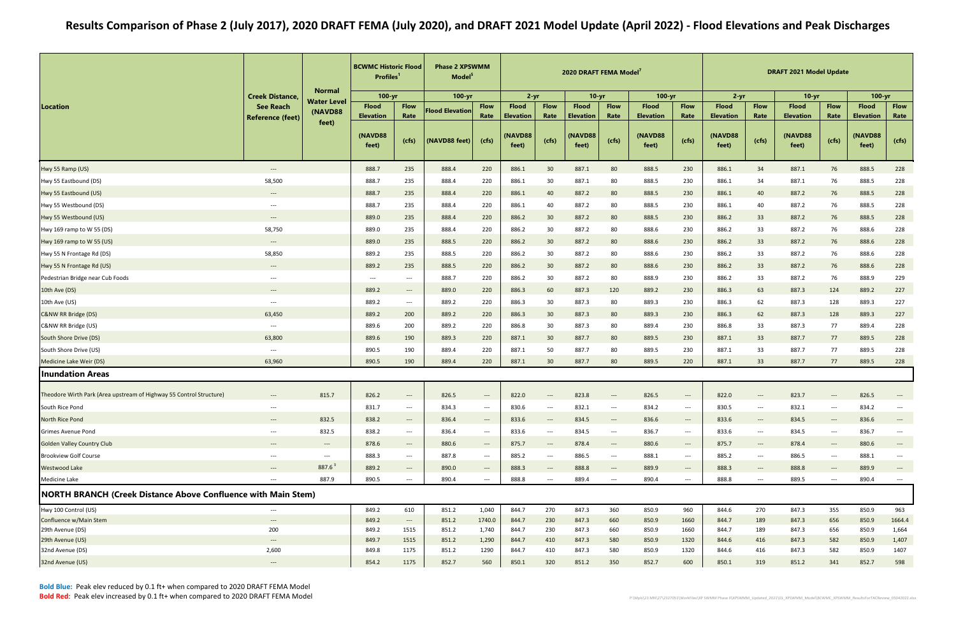|                                                                      |                                             | <b>Normal</b>            | <b>BCWMC Historic Flood</b><br><b>Profiles</b> |                                   | <b>Phase 2 XPSWMM</b><br>Model <sup>5</sup> |                                   |                                  |                                          | 2020 DRAFT FEMA Model <sup>7</sup> |                                          |                                  |                                          |                                  |                                                               | <b>DRAFT 2021 Model Update</b>   |                                                               |                                  |                                   |
|----------------------------------------------------------------------|---------------------------------------------|--------------------------|------------------------------------------------|-----------------------------------|---------------------------------------------|-----------------------------------|----------------------------------|------------------------------------------|------------------------------------|------------------------------------------|----------------------------------|------------------------------------------|----------------------------------|---------------------------------------------------------------|----------------------------------|---------------------------------------------------------------|----------------------------------|-----------------------------------|
|                                                                      | <b>Creek Distance,</b>                      | Water Level              | $100 - yr$                                     |                                   | 100-yr                                      |                                   | $2 - yr$                         |                                          | $10-yr$                            |                                          | $100 - yr$                       |                                          | $2 - yr$                         |                                                               | $10-yr$                          |                                                               | $100 - yr$                       |                                   |
| Location                                                             | <b>See Reach</b><br><b>Reference (feet)</b> | (NAVD88                  | <b>Flood</b><br><b>Elevation</b>               | <b>Flow</b><br>Rate               | <b>Flood Elevation</b>                      | <b>Flow</b><br>Rate               | <b>Flood</b><br><b>Elevation</b> | <b>Flow</b><br>Rate                      | <b>Flood</b><br><b>Elevation</b>   | <b>Flow</b><br>Rate                      | <b>Flood</b><br><b>Elevation</b> | <b>Flow</b><br>Rate                      | <b>Flood</b><br><b>Elevation</b> | <b>Flow</b><br>Rate                                           | <b>Flood</b><br><b>Elevation</b> | <b>Flow</b><br>Rate                                           | <b>Flood</b><br><b>Elevation</b> | <b>Flow</b><br>Rate               |
|                                                                      |                                             | feet)                    | (NAVD88<br>feet)                               | (ctfs)                            | (NAVD88 feet)                               | (cfs)                             | (NAVD88<br>feet)                 | (cfs)                                    | NAVD88<br>feet)                    | (cfs)                                    | (NAVD88<br>feet)                 | (cfs)                                    | (NAVD88<br>feet)                 | (cfs)                                                         | (NAVD88<br>feet)                 | (cfs)                                                         | (NAVD88<br>feet)                 | (cfs)                             |
| Hwy 55 Ramp (US)                                                     | $\hspace{0.05cm} \dashrightarrow$           |                          | 888.7                                          | 235                               | 888.4                                       | 220                               | 886.1                            | 30                                       | 887.1                              | 80                                       | 888.5                            | 230                                      | 886.1                            | 34                                                            | 887.1                            | 76                                                            | 888.5                            | 228                               |
| Hwy 55 Eastbound (DS)                                                | 58,500                                      |                          | 888.7                                          | 235                               | 888.4                                       | 220                               | 886.1                            | 30                                       | 887.1                              | 80                                       | 888.5                            | 230                                      | 886.1                            | 34                                                            | 887.1                            | 76                                                            | 888.5                            | 228                               |
| Hwy 55 Eastbound (US)                                                | $\hspace{0.05cm} \cdots$                    |                          | 888.7                                          | 235                               | 888.4                                       | 220                               | 886.1                            | 40                                       | 887.2                              | 80                                       | 888.5                            | 230                                      | 886.1                            | 40                                                            | 887.2                            | 76                                                            | 888.5                            | 228                               |
| Hwy 55 Westbound (DS)                                                | $\hspace{0.05cm} \dashrightarrow$           |                          | 888.7                                          | 235                               | 888.4                                       | 220                               | 886.1                            | 40                                       | 887.2                              | 80                                       | 888.5                            | 230                                      | 886.1                            | 40                                                            | 887.2                            | 76                                                            | 888.5                            | 228                               |
| Hwy 55 Westbound (US)                                                | $\hspace{0.05cm} \ldots$                    |                          | 889.0                                          | 235                               | 888.4                                       | 220                               | 886.2                            | 30                                       | 887.2                              | 80                                       | 888.5                            | 230                                      | 886.2                            | 33                                                            | 887.2                            | 76                                                            | 888.5                            | 228                               |
| Hwy 169 ramp to W 55 (DS)                                            | 58,750                                      |                          | 889.0                                          | 235                               | 888.4                                       | 220                               | 886.2                            | 30                                       | 887.2                              | 80                                       | 888.6                            | 230                                      | 886.2                            | 33                                                            | 887.2                            | 76                                                            | 888.6                            | 228                               |
| Hwy 169 ramp to W 55 (US)                                            | $---$                                       |                          | 889.0                                          | 235                               | 888.5                                       | 220                               | 886.2                            | 30                                       | 887.2                              | 80                                       | 888.6                            | 230                                      | 886.2                            | 33                                                            | 887.2                            | 76                                                            | 888.6                            | 228                               |
| Hwy 55 N Frontage Rd (DS)                                            | 58,850                                      |                          | 889.2                                          | 235                               | 888.5                                       | 220                               | 886.2                            | 30                                       | 887.2                              | 80                                       | 888.6                            | 230                                      | 886.2                            | 33                                                            | 887.2                            | 76                                                            | 888.6                            | 228                               |
| Hwy 55 N Frontage Rd (US)                                            | $\hspace{0.05cm} \ldots$                    |                          | 889.2                                          | 235                               | 888.5                                       | 220                               | 886.2                            | 30                                       | 887.2                              | 80                                       | 888.6                            | 230                                      | 886.2                            | 33                                                            | 887.2                            | 76                                                            | 888.6                            | 228                               |
| Pedestrian Bridge near Cub Foods                                     | $\hspace{0.05cm} \ldots$                    |                          | $\hspace{0.05cm} \ldots$                       | $---$                             | 888.7                                       | 220                               | 886.2                            | 30                                       | 887.2                              | 80                                       | 888.9                            | 230                                      | 886.2                            | 33                                                            | 887.2                            | 76                                                            | 888.9                            | 229                               |
| 10th Ave (DS)                                                        | $---$                                       |                          | 889.2                                          | $\hspace{0.05cm} \cdots$          | 889.0                                       | 220                               | 886.3                            | 60                                       | 887.3                              | 120                                      | 889.2                            | 230                                      | 886.3                            | 63                                                            | 887.3                            | 124                                                           | 889.2                            | 227                               |
| 10th Ave (US)                                                        | $\hspace{0.05cm} \ldots$                    |                          | 889.2                                          | $--$                              | 889.2                                       | 220                               | 886.3                            | 30                                       | 887.3                              | 80                                       | 889.3                            | 230                                      | 886.3                            | 62                                                            | 887.3                            | 128                                                           | 889.3                            | 227                               |
| C&NW RR Bridge (DS)                                                  | 63,450                                      |                          | 889.2                                          | 200                               | 889.2                                       | 220                               | 886.3                            | 30                                       | 887.3                              | 80                                       | 889.3                            | 230                                      | 886.3                            | 62                                                            | 887.3                            | 128                                                           | 889.3                            | 227                               |
| C&NW RR Bridge (US)                                                  | $\hspace{0.05cm} \ldots$                    |                          | 889.6                                          | 200                               | 889.2                                       | 220                               | 886.8                            | 30                                       | 887.3                              | 80                                       | 889.4                            | 230                                      | 886.8                            | 33                                                            | 887.3                            | 77                                                            | 889.4                            | 228                               |
| South Shore Drive (DS)                                               | 63,800                                      |                          | 889.6                                          | 190                               | 889.3                                       | 220                               | 887.1                            | 30                                       | 887.7                              | 80                                       | 889.5                            | 230                                      | 887.1                            | 33                                                            | 887.7                            | 77                                                            | 889.5                            | 228                               |
| South Shore Drive (US)                                               | $\hspace{0.05cm} \ldots \hspace{0.05cm}$    |                          | 890.5                                          | 190                               | 889.4                                       | 220                               | 887.1                            | 50                                       | 887.7                              | 80                                       | 889.5                            | 230                                      | 887.1                            | 33                                                            | 887.7                            | 77                                                            | 889.5                            | 228                               |
| Medicine Lake Weir (DS)                                              | 63,960                                      |                          | 890.5                                          | 190                               | 889.4                                       | 220                               | 887.1                            | 30 <sup>°</sup>                          | 887.7                              | 80                                       | 889.5                            | 220                                      | 887.1                            | 33                                                            | 887.7                            | 77                                                            | 889.5                            | 228                               |
| <b>Inundation Areas</b>                                              |                                             |                          |                                                |                                   |                                             |                                   |                                  |                                          |                                    |                                          |                                  |                                          |                                  |                                                               |                                  |                                                               |                                  |                                   |
|                                                                      |                                             |                          |                                                |                                   |                                             |                                   |                                  |                                          |                                    |                                          |                                  |                                          |                                  |                                                               |                                  |                                                               |                                  |                                   |
| Theodore Wirth Park (Area upstream of Highway 55 Control Structure)  | ---                                         | 815.7                    | 826.2                                          | $---$                             | 826.5                                       | $---$                             | 822.0                            | ---                                      | 823.8                              | $---$                                    | 826.5                            | ---                                      | 822.0                            |                                                               | 823.7                            | ---                                                           | 826.5                            |                                   |
| South Rice Pond                                                      | $\hspace{0.05cm} \ldots$                    |                          | 831.7                                          | $\hspace{0.05cm} \dashrightarrow$ | 834.3                                       | $\hspace{0.05cm} \ldots$          | 830.6                            | $\qquad \qquad - -$                      | 832.1                              | $\hspace{0.1em} \dashrightarrow$         | 834.2                            | ---                                      | 830.5                            | $\hspace{0.05cm} \cdots$                                      | 832.1                            | ---                                                           | 834.2                            | $---$                             |
| North Rice Pond                                                      | $\hspace{0.05cm} \dashrightarrow$           | 832.5                    | 838.2                                          | $\hspace{0.05cm} \dashrightarrow$ | 836.4                                       | $\hspace{0.05cm} \dashrightarrow$ | 833.6                            | $\hspace{0.05cm} \dashrightarrow$        | 834.5                              | $\overline{\phantom{a}}$                 | 836.6                            | $\hspace{0.05cm} \dashrightarrow$        | 833.6                            | $\hspace{0.1em}-\hspace{0.1em}-\hspace{0.1em}-\hspace{0.1em}$ | 834.5                            | $---$                                                         | 836.6                            |                                   |
| <b>Grimes Avenue Pond</b>                                            | $\hspace{0.05cm} \ldots \hspace{0.05cm}$    | 832.5                    | 838.2                                          | $\hspace{0.1em} \dashrightarrow$  | 836.4                                       | $\hspace{0.05cm} \cdots$          | 833.6                            | $\hspace{0.05cm} \ldots \hspace{0.05cm}$ | 834.5                              | $\hspace{0.1em} \dashrightarrow$         | 836.7                            | $\hspace{0.05cm} \ldots \hspace{0.05cm}$ | 833.6                            | $\hspace{0.05cm} \ldots$                                      | 834.5                            | $\hspace{0.05cm} \ldots \hspace{0.05cm}$                      | 836.7                            | $\hspace{0.05cm} \ldots$          |
| <b>Golden Valley Country Club</b>                                    | $\hspace{0.05cm} \ldots$                    | $---$                    | 878.6                                          | $---$                             | 880.6                                       | $\hspace{0.05cm} \dashrightarrow$ | 875.7                            | $\hspace{0.05cm} \ldots \hspace{0.05cm}$ | 878.4                              | $---$                                    | 880.6                            | $\hspace{0.05cm} \dashrightarrow$        | 875.7                            | $\hspace{0.1em}-\hspace{0.1em}-\hspace{0.1em}-\hspace{0.1em}$ | 878.4                            | $\hspace{0.1em}-\hspace{0.1em}-\hspace{0.1em}-\hspace{0.1em}$ | 880.6                            | $\hspace{0.05cm} \dashrightarrow$ |
| <b>Brookview Golf Course</b>                                         | $\hspace{0.05cm} \ldots$                    | $\hspace{0.05cm} \ldots$ | 888.3                                          | $\hspace{0.05cm} \dashrightarrow$ | 887.8                                       | $\hspace{0.05cm} \dashrightarrow$ | 885.2                            | $\hspace{0.05cm} \ldots \hspace{0.05cm}$ | 886.5                              | $\hspace{0.05cm} \ldots \hspace{0.05cm}$ | 888.1                            | $\hspace{0.05cm} \ldots \hspace{0.05cm}$ | 885.2                            | $--$                                                          | 886.5                            | ---                                                           | 888.1                            | $\overline{\phantom{a}}$          |
| <b>Westwood Lake</b>                                                 | $\hspace{0.05cm} \dashrightarrow$           | $887.6^3$                | 889.2                                          | $\hspace{0.05cm} \dashrightarrow$ | 890.0                                       | $\qquad \qquad - -$               | 888.3                            | ---                                      | 888.8                              | $\hspace{0.1em} \dashrightarrow$         | 889.9                            | ---                                      | 888.3                            | $\hspace{0.05cm} \ldots$                                      | 888.8                            | $---$                                                         | 889.9                            | $\overline{\phantom{a}}$          |
| Medicine Lake                                                        | $\hspace{0.05cm} \dashrightarrow$           | 887.9                    | 890.5                                          | $\hspace{0.05cm} \ldots$          | 890.4                                       | $\qquad \qquad - -$               | 888.8                            | $\hspace{0.05cm} \ldots \hspace{0.05cm}$ | 889.4                              | $\hspace{0.05cm} \ldots \hspace{0.05cm}$ | 890.4                            | $---$                                    | 888.8                            | $\hspace{0.05cm} \ldots \hspace{0.05cm}$                      | 889.5                            | $\qquad \qquad - -$                                           | 890.4                            | $\hspace{0.05cm} \textbf{---}$    |
| <b>NORTH BRANCH (Creek Distance Above Confluence with Main Stem)</b> |                                             |                          |                                                |                                   |                                             |                                   |                                  |                                          |                                    |                                          |                                  |                                          |                                  |                                                               |                                  |                                                               |                                  |                                   |
| Hwy 100 Control (US)                                                 | $\hspace{0.05cm} \ldots$                    |                          | 849.2                                          | 610                               | 851.2                                       | 1,040                             | 844.7                            | 270                                      | 847.3                              | 360                                      | 850.9                            | 960                                      | 844.6                            | 270                                                           | 847.3                            | 355                                                           | 850.9                            | 963                               |
| Confluence w/Main Stem                                               | $---$                                       |                          | 849.2                                          | $\hspace{0.1em} \dashrightarrow$  | 851.2                                       | 1740.0                            | 844.7                            | 230                                      | 847.3                              | 660                                      | 850.9                            | 1660                                     | 844.7                            | 189                                                           | 847.3                            | 656                                                           | 850.9                            | 1664.4                            |
| 29th Avenue (DS)<br>29th Avenue (US)                                 | 200<br>$\hspace{0.05cm} \dashrightarrow$    |                          | 849.2<br>849.7                                 | 1515<br>1515                      | 851.2<br>851.2                              | 1,740<br>1,290                    | 844.7<br>844.7                   | 230<br>410                               | 847.3<br>847.3                     | 660<br>580                               | 850.9<br>850.9                   | 1660<br>1320                             | 844.7<br>844.6                   | 189<br>416                                                    | 847.3<br>847.3                   | 656<br>582                                                    | 850.9<br>850.9                   | 1,664<br>1,407                    |
| 32nd Avenue (DS)                                                     | 2,600                                       |                          | 849.8                                          | 1175                              | 851.2                                       | 1290                              | 844.7                            | 410                                      | 847.3                              | 580                                      | 850.9                            | 1320                                     | 844.6                            | 416                                                           | 847.3                            | 582                                                           | 850.9                            | 1407                              |
| 32nd Avenue (US)                                                     | $\hspace{0.05cm} \dashrightarrow$           |                          | 854.2                                          | 1175                              | 852.7                                       | 560                               | 850.1                            | 320                                      | 851.2                              | 350                                      | 852.7                            | 600                                      | 850.1                            | 319                                                           | 851.2                            | 341                                                           | 852.7                            | 598                               |
|                                                                      |                                             |                          |                                                |                                   |                                             |                                   |                                  |                                          |                                    |                                          |                                  |                                          |                                  |                                                               |                                  |                                                               |                                  |                                   |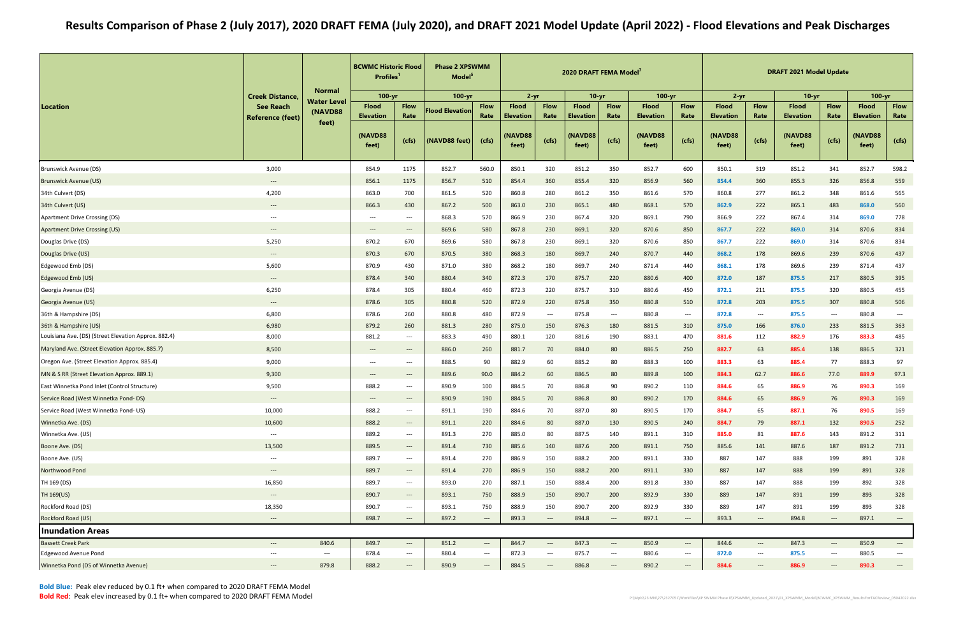|                                                      | <b>Creek Distance,</b>            |                                        | <b>BCWMC Historic Flood</b><br><b>Profiles</b> |                                                                | <b>Phase 2 XPSWMM</b><br>Model <sup>5</sup> |                                   |                                  |                                          | 2020 DRAFT FEMA Model <sup>7</sup> |                                        |                                  |                                          |                                  |                          | <b>DRAFT 2021 Model Update</b>   |                                          |                                  |                                   |
|------------------------------------------------------|-----------------------------------|----------------------------------------|------------------------------------------------|----------------------------------------------------------------|---------------------------------------------|-----------------------------------|----------------------------------|------------------------------------------|------------------------------------|----------------------------------------|----------------------------------|------------------------------------------|----------------------------------|--------------------------|----------------------------------|------------------------------------------|----------------------------------|-----------------------------------|
|                                                      |                                   | <b>Normal</b><br><b>Water Level</b>    | $100 - yr$                                     |                                                                | 100-yr                                      |                                   | $2 - yr$                         |                                          | $10-yr$                            |                                        | $100 - yr$                       |                                          | $2 - yr$                         |                          | $10-yr$                          |                                          | $100 - yr$                       |                                   |
| Location                                             | <b>See Reach</b>                  | (NAVD88                                | <b>Flood</b><br><b>Elevation</b>               | <b>Flow</b><br>Rate                                            | <b>Flood Elevation</b>                      | <b>Flow</b><br>Rate               | <b>Flood</b><br><b>Elevation</b> | <b>Flow</b><br>Rate                      | <b>Flood</b><br><b>Elevation</b>   | <b>Flow</b><br>Rate                    | <b>Flood</b><br><b>Elevation</b> | <b>Flow</b><br>Rate                      | <b>Flood</b><br><b>Elevation</b> | <b>Flow</b><br>Rate      | <b>Flood</b><br><b>Elevation</b> | <b>Flow</b><br>Rate                      | <b>Flood</b><br><b>Elevation</b> | <b>Flow</b><br>Rate               |
|                                                      | <b>Reference (feet)</b>           | feet)                                  | (NAVD88<br>feet)                               | (cfs)                                                          | (NAVD88 feet)                               | (cfs)                             | (NAVD88<br>feet)                 | (cfs)                                    | NAVD88<br>feet)                    | (cfs)                                  | (NAVD88<br>feet)                 | (cts)                                    | (NAVD88<br>feet)                 | (cfs)                    | (NAVD88<br>feet)                 | (cfs)                                    | (NAVD88<br>feet)                 | (cfs)                             |
| <b>Brunswick Avenue (DS)</b>                         | 3,000                             |                                        | 854.9                                          | 1175                                                           | 852.7                                       | 560.0                             | 850.1                            | 320                                      | 851.2                              | 350                                    | 852.7                            | 600                                      | 850.1                            | 319                      | 851.2                            | 341                                      | 852.7                            | 598.2                             |
| Brunswick Avenue (US)                                | $---$                             |                                        | 856.1                                          | 1175                                                           | 856.7                                       | 510                               | 854.4                            | 360                                      | 855.4                              | 320                                    | 856.9                            | 560                                      | 854.4                            | 360                      | 855.3                            | 326                                      | 856.8                            | 559                               |
| 34th Culvert (DS)                                    | 4,200                             |                                        | 863.0                                          | 700                                                            | 861.5                                       | 520                               | 860.8                            | 280                                      | 861.2                              | 350                                    | 861.6                            | 570                                      | 860.8                            | 277                      | 861.2                            | 348                                      | 861.6                            | 565                               |
| 34th Culvert (US)                                    | $\hspace{0.05cm} \cdots$          |                                        | 866.3                                          | 430                                                            | 867.2                                       | 500                               | 863.0                            | 230                                      | 865.1                              | 480                                    | 868.1                            | 570                                      | 862.9                            | 222                      | 865.1                            | 483                                      | 868.0                            | 560                               |
| Apartment Drive Crossing (DS)                        | $\hspace{0.05cm} \ldots$          |                                        | $---$                                          | $\hspace{0.05cm} \ldots \hspace{0.05cm}$                       | 868.3                                       | 570                               | 866.9                            | 230                                      | 867.4                              | 320                                    | 869.1                            | 790                                      | 866.9                            | 222                      | 867.4                            | 314                                      | 869.0                            | 778                               |
| <b>Apartment Drive Crossing (US)</b>                 | $---$                             |                                        | $\hspace{0.05cm} \dashrightarrow$              | $\hspace{0.05cm} \dashrightarrow$                              | 869.6                                       | 580                               | 867.8                            | 230                                      | 869.1                              | 320                                    | 870.6                            | 850                                      | 867.7                            | 222                      | 869.0                            | 314                                      | 870.6                            | 834                               |
| Douglas Drive (DS)                                   | 5,250                             |                                        | 870.2                                          | 670                                                            | 869.6                                       | 580                               | 867.8                            | 230                                      | 869.1                              | 320                                    | 870.6                            | 850                                      | 867.7                            | 222                      | 869.0                            | 314                                      | 870.6                            | 834                               |
| Douglas Drive (US)                                   | $---$                             |                                        | 870.3                                          | 670                                                            | 870.5                                       | 380                               | 868.3                            | 180                                      | 869.7                              | 240                                    | 870.7                            | 440                                      | 868.2                            | 178                      | 869.6                            | 239                                      | 870.6                            | 437                               |
| Edgewood Emb (DS)                                    | 5,600                             |                                        | 870.9                                          | 430                                                            | 871.0                                       | 380                               | 868.2                            | 180                                      | 869.7                              | 240                                    | 871.4                            | 440                                      | 868.1                            | 178                      | 869.6                            | 239                                      | 871.4                            | 437                               |
| Edgewood Emb (US)                                    | $\hspace{0.05cm} \dashrightarrow$ |                                        | 878.4                                          | 340                                                            | 880.4                                       | 340                               | 872.3                            | 170                                      | 875.7                              | 220                                    | 880.6                            | 400                                      | 872.0                            | 187                      | 875.5                            | 217                                      | 880.5                            | 395                               |
| Georgia Avenue (DS)                                  | 6,250                             |                                        | 878.4                                          | 305                                                            | 880.4                                       | 460                               | 872.3                            | 220                                      | 875.7                              | 310                                    | 880.6                            | 450                                      | 872.1                            | 211                      | 875.5                            | 320                                      | 880.5                            | 455                               |
| Georgia Avenue (US)                                  | $---$                             |                                        | 878.6                                          | 305                                                            | 880.8                                       | 520                               | 872.9                            | 220                                      | 875.8                              | 350                                    | 880.8                            | 510                                      | 872.8                            | 203                      | 875.5                            | 307                                      | 880.8                            | 506                               |
| 36th & Hampshire (DS)                                | 6,800                             |                                        | 878.6                                          | 260                                                            | 880.8                                       | 480                               | 872.9                            | $\hspace{0.05cm} \ldots \hspace{0.05cm}$ | 875.8                              | $\hspace{0.05cm} \ldots$               | 880.8                            | $\hspace{0.05cm} \ldots \hspace{0.05cm}$ | 872.8                            | $--$                     | 875.5                            | $\hspace{0.05cm} \ldots \hspace{0.05cm}$ | 880.8                            | $\hspace{0.05cm} \cdots$          |
| 36th & Hampshire (US)                                | 6,980                             |                                        | 879.2                                          | 260                                                            | 881.3                                       | 280                               | 875.0                            | 150                                      | 876.3                              | 180                                    | 881.5                            | 310                                      | 875.0                            | 166                      | 876.0                            | 233                                      | 881.5                            | 363                               |
| Louisiana Ave. (DS) (Street Elevation Approx. 882.4) | 8,000                             |                                        | 881.2                                          | $\hspace{0.05cm} \ldots \hspace{0.05cm}$                       | 883.3                                       | 490                               | 880.1                            | 120                                      | 881.6                              | 190                                    | 883.1                            | 470                                      | 881.6                            | 112                      | 882.9                            | 176                                      | 883.3                            | 485                               |
| Maryland Ave. (Street Elevation Approx. 885.7)       | 8,500                             |                                        | $\hspace{0.05cm} \dashrightarrow$              | $\hspace{0.05cm} \dashrightarrow$                              | 886.0                                       | 260                               | 881.7                            | 70                                       | 884.0                              | 80                                     | 886.5                            | 250                                      | 882.7                            | 63                       | 885.4                            | 138                                      | 886.5                            | 321                               |
| Oregon Ave. (Street Elevation Approx. 885.4)         | 9,000                             |                                        | $\hspace{0.05cm} \dashrightarrow$              | $\hspace{0.05cm} \ldots \hspace{0.05cm}$                       | 888.5                                       | 90                                | 882.9                            | 60                                       | 885.2                              | 80                                     | 888.3                            | 100                                      | 883.3                            | 63                       | 885.4                            | 77                                       | 888.3                            | 97                                |
| MN & S RR (Street Elevation Approx. 889.1)           | 9,300                             |                                        | $---$                                          | $\qquad \qquad - -$                                            | 889.6                                       | 90.0                              | 884.2                            | 60                                       | 886.5                              | 80                                     | 889.8                            | 100                                      | 884.3                            | 62.7                     | 886.6                            | 77.0                                     | 889.9                            | 97.3                              |
| East Winnetka Pond Inlet (Control Structure)         | 9,500                             |                                        | 888.2                                          | $\hspace{0.05cm} \ldots \hspace{0.05cm}$                       | 890.9                                       | 100                               | 884.5                            | 70                                       | 886.8                              | 90                                     | 890.2                            | 110                                      | 884.6                            | 65                       | 886.9                            | 76                                       | 890.3                            | 169                               |
| Service Road (West Winnetka Pond-DS)                 |                                   |                                        | $---$                                          | $\qquad \qquad \cdots$                                         | 890.9                                       | 190                               | 884.5                            | 70                                       | 886.8                              | 80                                     | 890.2                            | 170                                      | 884.6                            | 65                       | 886.9                            | 76                                       | 890.3                            | 169                               |
| Service Road (West Winnetka Pond- US)                | 10,000                            |                                        | 888.2                                          | $\hspace{0.05cm} \dashrightarrow$                              | 891.1                                       | 190                               | 884.6                            | 70                                       | 887.0                              | 80                                     | 890.5                            | 170                                      | 884.7                            | 65                       | 887.1                            | 76                                       | 890.5                            | 169                               |
| Winnetka Ave. (DS)                                   | 10,600                            |                                        | 888.2                                          | $\hspace{0.1em} \dashrightarrow \hspace{0.1em} \hspace{0.1em}$ | 891.1                                       | 220                               | 884.6                            | 80                                       | 887.0                              | 130                                    | 890.5                            | 240                                      | 884.7                            | 79                       | 887.1                            | 132                                      | 890.5                            | 252                               |
| Winnetka Ave. (US)                                   | $\hspace{0.05cm} \dashrightarrow$ |                                        | 889.2                                          | $\hspace{0.05cm} \dashrightarrow$                              | 891.3                                       | 270                               | 885.0                            | 80                                       | 887.5                              | 140                                    | 891.1                            | 310                                      | 885.0                            | 81                       | 887.6                            | 143                                      | 891.2                            | 311                               |
| Boone Ave. (DS)                                      | 13,500                            |                                        | 889.5                                          | $\hspace{0.1em}-\hspace{0.1em}-\hspace{0.1em}-\hspace{0.1em}$  | 891.4                                       | 730                               | 885.6                            | 140                                      | 887.6                              | 200                                    | 891.1                            | 750                                      | 885.6                            | 141                      | 887.6                            | 187                                      | 891.2                            | 731                               |
| Boone Ave. (US)                                      | $\hspace{0.05cm} \dashrightarrow$ |                                        | 889.7                                          | $\hspace{0.05cm} \dashrightarrow$                              | 891.4                                       | 270                               | 886.9                            | 150                                      | 888.2                              | 200                                    | 891.1                            | 330                                      | 887                              | 147                      | 888                              | 199                                      | 891                              | 328                               |
| Northwood Pond                                       | $---$                             |                                        | 889.7                                          | $\hspace{0.1em} \cdots$                                        | 891.4                                       | 270                               | 886.9                            | 150                                      | 888.2                              | 200                                    | 891.1                            | 330                                      | 887                              | 147                      | 888                              | 199                                      | 891                              | 328                               |
| TH 169 (DS)                                          | 16,850                            |                                        | 889.7                                          | $\hspace{0.05cm} \dashrightarrow$                              | 893.0                                       | 270                               | 887.1                            | 150                                      | 888.4                              | 200                                    | 891.8                            | 330                                      | 887                              | 147                      | 888                              | 199                                      | 892                              | 328                               |
| TH 169(US)                                           | $\hspace{0.05cm} \dashrightarrow$ |                                        | 890.7                                          | $\hspace{0.05cm} \dashrightarrow$                              | 893.1                                       | 750                               | 888.9                            | 150                                      | 890.7                              | 200                                    | 892.9                            | 330                                      | 889                              | 147                      | 891                              | 199                                      | 893                              | 328                               |
| Rockford Road (DS)                                   | 18,350                            |                                        | 890.7                                          | $\hspace{0.05cm} \dashrightarrow$                              | 893.1                                       | 750                               | 888.9                            | 150                                      | 890.7                              | 200                                    | 892.9                            | 330                                      | 889                              | 147                      | 891                              | 199                                      | 893                              | 328                               |
| Rockford Road (US)                                   | $\hspace{0.05cm} \dashrightarrow$ |                                        | 898.7                                          | $\qquad \qquad - -$                                            | 897.2                                       | $\qquad \qquad \cdots$            | 893.3                            | $\qquad \qquad - -$                      | 894.8                              | $---$                                  | 897.1                            | $---$                                    | 893.3                            | $\hspace{0.05cm} \ldots$ | 894.8                            | $---$                                    | 897.1                            | $\qquad \qquad \cdots$            |
| <b>Inundation Areas</b>                              |                                   |                                        |                                                |                                                                |                                             |                                   |                                  |                                          |                                    |                                        |                                  |                                          |                                  |                          |                                  |                                          |                                  |                                   |
| <b>Bassett Creek Park</b>                            | $\hspace{0.05cm} \dashrightarrow$ | 840.6                                  | 849.7                                          | $\cdots$                                                       | 851.2                                       | $\hspace{0.05cm} \dashrightarrow$ | 844.7                            | $\hspace{0.05cm} \ldots$                 | 847.3                              | $\hspace{0.1em} \ldots \hspace{0.1em}$ | 850.9                            | $\hspace{0.05cm} \dashrightarrow$        | 844.6                            | $---$                    | 847.3                            | $\hspace{0.1em} \ldots \hspace{0.1em}$   | 850.9                            | $\qquad \qquad \cdots$            |
| <b>Edgewood Avenue Pond</b>                          | $\hspace{0.05cm} \ldots$          | $\hspace{0.1em} \ldots \hspace{0.1em}$ | 878.4                                          | $\hspace{0.05cm} \dashrightarrow$                              | 880.4                                       | $\qquad \qquad \text{---}$        | 872.3                            | $\hspace{0.05cm} \ldots \hspace{0.05cm}$ | 875.7                              | $--$                                   | 880.6                            | $\hspace{0.05cm} \ldots \hspace{0.05cm}$ | 872.0                            | $\hspace{0.05cm} \ldots$ | 875.5                            | $\qquad \qquad \text{---}$               | 880.5                            | $\hspace{0.05cm} \dashrightarrow$ |
| Winnetka Pond (DS of Winnetka Avenue)                | $---$                             | 879.8                                  | 888.2                                          | $\hspace{0.05cm} \dashrightarrow$                              | 890.9                                       | $\qquad \qquad \cdots$            | 884.5                            | $---$                                    | 886.8                              | $---$                                  | 890.2                            | $---$                                    | 884.6                            | $---$                    | 886.9                            | $\qquad \qquad - -$                      | 890.3                            | $\hspace{0.1em} \dashrightarrow$  |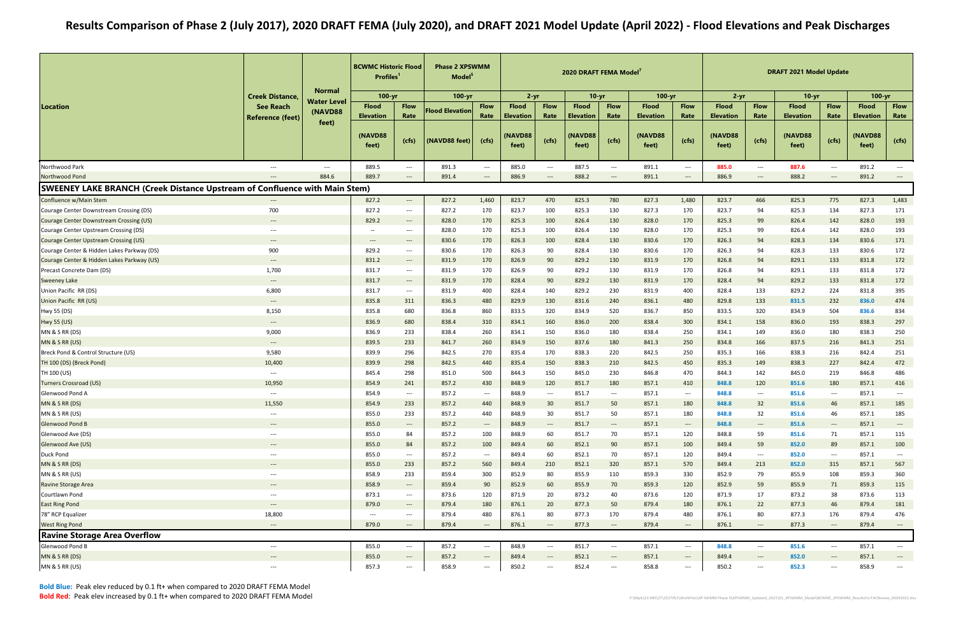Bold Blue: Peak elev reduced by 0.1 ft+ when compared to 2020 DRAFT FEMA ModelBold Red: Peak elev increased by 0.1 ft+ when compared to 2020 DRAFT FEMA Model

|                                                                                   |                                             | <b>Normal</b>        | <b>BCWMC Historic Flood</b><br><b>Profiles</b> |                                          | <b>Phase 2 XPSWMM</b><br>Model <sup>5</sup> |                                   |                                  |                                        | 2020 DRAFT FEMA Model     |                                   |                                  |                                   |                                  |                                          | <b>DRAFT 2021 Model Update</b>   |                                          |                                  |                                   |
|-----------------------------------------------------------------------------------|---------------------------------------------|----------------------|------------------------------------------------|------------------------------------------|---------------------------------------------|-----------------------------------|----------------------------------|----------------------------------------|---------------------------|-----------------------------------|----------------------------------|-----------------------------------|----------------------------------|------------------------------------------|----------------------------------|------------------------------------------|----------------------------------|-----------------------------------|
|                                                                                   | <b>Creek Distance,</b>                      | <b>Water Level</b>   | $100 - yr$                                     |                                          | 100-yr                                      |                                   | $2 - yr$                         |                                        | $10 - yr$                 |                                   | $100 - yr$                       |                                   | $2 - yr$                         |                                          | $10 - yr$                        |                                          | $100 - yr$                       |                                   |
| Location                                                                          | <b>See Reach</b><br><b>Reference (feet)</b> | (NAVD88              | <b>Flood</b><br><b>Elevation</b>               | <b>Flow</b><br>Rate                      | <b>Flood Elevation</b>                      | <b>Flow</b><br>Rate               | <b>Flood</b><br><b>Elevation</b> | <b>Flow</b><br>Rate                    | <b>Flood</b><br>Elevation | <b>Flow</b><br>Rate               | <b>Flood</b><br><b>Elevation</b> | <b>Flow</b><br>Rate               | <b>Flood</b><br><b>Elevation</b> | <b>Flow</b><br>Rate                      | <b>Flood</b><br><b>Elevation</b> | <b>Flow</b><br>Rate                      | <b>Flood</b><br><b>Elevation</b> | <b>Flow</b><br>Rate               |
|                                                                                   |                                             | feet)                | (NAVD88<br>feet)                               | (cfs)                                    | (NAVD88 feet)                               | (cfs)                             | (NAVD88<br>feet)                 | (cfs)                                  | (NAVD88<br>feet)          | (cfs)                             | <b>(NAVD88)</b><br>feet)         | (cfs)                             | (NAVD88<br>feet)                 | (cfs)                                    | (NAVD88<br>feet)                 | (cfs)                                    | (NAVD88<br>feet)                 | (cfs)                             |
| Northwood Park                                                                    | ---                                         | $\hspace{0.05cm}---$ | 889.5                                          | $\hspace{0.05cm} \ldots$                 | 891.3                                       | $\hspace{0.05cm} \ldots$          | 885.0                            | $\hspace{0.05cm} \ldots$               | 887.5                     | $--$                              | 891.1                            | $\hspace{0.05cm}---$              | 885.0                            | $--$                                     | 887.6                            | $\hspace{0.05cm}---$                     | 891.2                            | $\hspace{0.05cm}---$              |
| Northwood Pond                                                                    | $\qquad \qquad - -$                         | 884.6                | 889.7                                          | $\hspace{0.05cm} \ldots$                 | 891.4                                       | $---$                             | 886.9                            | $\hspace{0.1em} \ldots \hspace{0.1em}$ | 888.2                     | $\hspace{0.05cm} \ldots$          | 891.1                            | $\hspace{0.05cm} \ldots$          | 886.9                            | $---$                                    | 888.2                            | $---$                                    | 891.2                            | $\qquad \qquad - -$               |
| <b>SWEENEY LAKE BRANCH (Creek Distance Upstream of Confluence with Main Stem)</b> |                                             |                      |                                                |                                          |                                             |                                   |                                  |                                        |                           |                                   |                                  |                                   |                                  |                                          |                                  |                                          |                                  |                                   |
| Confluence w/Main Stem                                                            | $\hspace{0.05cm} \ldots$                    |                      | 827.2                                          | $\hspace{0.05cm} \dashrightarrow$        | 827.2                                       | 1,460                             | 823.7                            | 470                                    | 825.3                     | 780                               | 827.3                            | 1,480                             | 823.7                            | 466                                      | 825.3                            | 775                                      | 827.3                            | 1,483                             |
| Courage Center Downstream Crossing (DS)                                           | 700                                         |                      | 827.2                                          | $\hspace{0.05cm} \dashrightarrow$        | 827.2                                       | 170                               | 823.7                            | 100                                    | 825.3                     | 130                               | 827.3                            | 170                               | 823.7                            | 94                                       | 825.3                            | 134                                      | 827.3                            | 171                               |
| <b>Courage Center Downstream Crossing (US)</b>                                    | $\hspace{0.05cm} \ldots \hspace{0.05cm}$    |                      | 829.2                                          | $\hspace{0.05cm} \dashrightarrow$        | 828.0                                       | 170                               | 825.3                            | 100                                    | 826.4                     | 130                               | 828.0                            | 170                               | 825.3                            | 99                                       | 826.4                            | 142                                      | 828.0                            | 193                               |
| Courage Center Upstream Crossing (DS)                                             | ---                                         |                      | $\overline{\phantom{a}}$                       | $\hspace{0.05cm} \ldots$                 | 828.0                                       | 170                               | 825.3                            | 100                                    | 826.4                     | 130                               | 828.0                            | 170                               | 825.3                            | 99                                       | 826.4                            | 142                                      | 828.0                            | 193                               |
| Courage Center Upstream Crossing (US)                                             | $\hspace{0.05cm} \ldots \hspace{0.05cm}$    |                      | $\qquad \qquad - -$                            | $\hspace{0.05cm} \ldots$                 | 830.6                                       | 170                               | 826.3                            | 100                                    | 828.4                     | 130                               | 830.6                            | 170                               | 826.3                            | 94                                       | 828.3                            | 134                                      | 830.6                            | 171                               |
| Courage Center & Hidden Lakes Parkway (DS)                                        | 900                                         |                      | 829.2                                          | $\hspace{0.05cm} \ldots$                 | 830.6                                       | 170                               | 826.3                            | 90                                     | 828.4                     | 130                               | 830.6                            | 170                               | 826.3                            | 94                                       | 828.3                            | 133                                      | 830.6                            | 172                               |
| Courage Center & Hidden Lakes Parkway (US)                                        | $\hspace{0.05cm} \ldots \hspace{0.05cm}$    |                      | 831.2                                          | $\hspace{0.05cm} \dashrightarrow$        | 831.9                                       | 170                               | 826.9                            | 90                                     | 829.2                     | 130                               | 831.9                            | 170                               | 826.8                            | 94                                       | 829.1                            | 133                                      | 831.8                            | 172                               |
| Precast Concrete Dam (DS)                                                         | 1,700                                       |                      | 831.7                                          | $\hspace{0.05cm} \ldots$                 | 831.9                                       | 170                               | 826.9                            | 90                                     | 829.2                     | 130                               | 831.9                            | 170                               | 826.8                            | 94                                       | 829.1                            | 133                                      | 831.8                            | 172                               |
| <b>Sweeney Lake</b>                                                               | $\qquad \qquad - -$                         |                      | 831.7                                          | $\hspace{0.05cm} \cdots$                 | 831.9                                       | 170                               | 828.4                            | 90                                     | 829.2                     | 130                               | 831.9                            | 170                               | 828.4                            | 94                                       | 829.2                            | 133                                      | 831.8                            | 172                               |
| Union Pacific RR (DS)                                                             | 6,800                                       |                      | 831.7                                          | $\hspace{0.05cm} \dashrightarrow$        | 831.9                                       | 400                               | 828.4                            | 140                                    | 829.2                     | 230                               | 831.9                            | 400                               | 828.4                            | 133                                      | 829.2                            | 224                                      | 831.8                            | 395                               |
| Union Pacific RR (US)                                                             | $\cdots$                                    |                      | 835.8                                          | 311                                      | 836.3                                       | 480                               | 829.9                            | 130                                    | 831.6                     | 240                               | 836.1                            | 480                               | 829.8                            | 133                                      | 831.5                            | 232                                      | 836.0                            | 474                               |
| Hwy 55 (DS)                                                                       | 8,150                                       |                      | 835.8                                          | 680                                      | 836.8                                       | 860                               | 833.5                            | 320                                    | 834.9                     | 520                               | 836.7                            | 850                               | 833.5                            | 320                                      | 834.9                            | 504                                      | 836.6                            | 834                               |
| <b>Hwy 55 (US)</b>                                                                | $\qquad \qquad \cdots$                      |                      | 836.9                                          | 680                                      | 838.4                                       | 310                               | 834.1                            | 160                                    | 836.0                     | 200                               | 838.4                            | 300                               | 834.1                            | 158                                      | 836.0                            | 193                                      | 838.3                            | 297                               |
| <b>MN &amp; S RR (DS)</b>                                                         | 9,000                                       |                      | 836.9                                          | 233                                      | 838.4                                       | 260                               | 834.1                            | 150                                    | 836.0                     | 180                               | 838.4                            | 250                               | 834.1                            | 149                                      | 836.0                            | 180                                      | 838.3                            | 250                               |
| MN & S RR (US)                                                                    | $\hspace{0.05cm} \ldots \hspace{0.05cm}$    |                      | 839.5                                          | 233                                      | 841.7                                       | 260                               | 834.9                            | 150                                    | 837.6                     | 180                               | 841.3                            | 250                               | 834.8                            | 166                                      | 837.5                            | 216                                      | 841.3                            | 251                               |
| Breck Pond & Control Structure (US)                                               | 9,580                                       |                      | 839.9                                          | 296                                      | 842.5                                       | 270                               | 835.4                            | 170                                    | 838.3                     | 220                               | 842.5                            | 250                               | 835.3                            | 166                                      | 838.3                            | 216                                      | 842.4                            | 251                               |
| TH 100 (DS) (Breck Pond)                                                          | 10,400                                      |                      | 839.9                                          | 298                                      | 842.5                                       | 440                               | 835.4                            | 150                                    | 838.3                     | 210                               | 842.5                            | 450                               | 835.3                            | 149                                      | 838.3                            | 227                                      | 842.4                            | 472                               |
| TH 100 (US)                                                                       | $\hspace{0.05cm} \ldots \hspace{0.05cm}$    |                      | 845.4                                          | 298                                      | 851.0                                       | 500                               | 844.3                            | 150                                    | 845.0                     | 230                               | 846.8                            | 470                               | 844.3                            | 142                                      | 845.0                            | 219                                      | 846.8                            | 486                               |
| Turners Crossroad (US)                                                            | 10,950                                      |                      | 854.9                                          | 241                                      | 857.2                                       | 430                               | 848.9                            | 120                                    | 851.7                     | 180                               | 857.1                            | 410                               | 848.8                            | 120                                      | 851.6                            | 180                                      | 857.1                            | 416                               |
| Glenwood Pond A                                                                   | $---$                                       |                      | 854.9                                          | $---$                                    | 857.2                                       | $---$                             | 848.9                            | $---$                                  | 851.7                     | $\hspace{0.05cm} \ldots$          | 857.1                            | $---$                             | 848.8                            | $---$                                    | 851.6                            | $---$                                    | 857.1                            | $\overline{\phantom{a}}$          |
| MN & S RR (DS)                                                                    | 11,550                                      |                      | 854.9                                          | 233                                      | 857.2                                       | 440                               | 848.9                            | 30                                     | 851.7                     | 50                                | 857.1                            | 180                               | 848.8                            | 32                                       | 851.6                            | 46                                       | 857.1                            | 185                               |
| MN & S RR (US)                                                                    |                                             |                      | 855.0                                          | 233                                      | 857.2                                       | 440                               | 848.9                            | 30                                     | 851.7                     | 50                                | 857.1                            | 180                               | 848.8                            | 32                                       | 851.6                            | 46                                       | 857.1                            | 185                               |
| <b>Glenwood Pond B</b>                                                            | $\hspace{0.05cm} \ldots \hspace{0.05cm}$    |                      | 855.0                                          |                                          | 857.2                                       |                                   | 848.9                            | $\hspace{0.1em} \dashrightarrow$       | 851.7                     | $\hspace{0.05cm} \dashrightarrow$ | 857.1                            | $\hspace{0.1em} \dashrightarrow$  | 848.8                            | $\hspace{0.1em} \dashrightarrow$         | 851.6                            | $\hspace{0.05cm} \dashrightarrow$        | 857.1                            |                                   |
|                                                                                   | $---$                                       |                      | 855.0                                          | $\hspace{0.05cm} \dashrightarrow$<br>84  |                                             | $\sim$                            |                                  | 60                                     |                           | 70                                | 857.1                            |                                   | 848.8                            |                                          | 851.6                            |                                          | 857.1                            | $\hspace{0.05cm} \cdots$<br>115   |
| Glenwood Ave (DS)                                                                 | $\hspace{0.05cm} \ldots \hspace{0.05cm}$    |                      |                                                |                                          | 857.2                                       | 100                               | 848.9                            |                                        | 851.7                     |                                   |                                  | 120                               |                                  | 59                                       |                                  | 71                                       |                                  |                                   |
| Glenwood Ave (US)<br><b>Duck Pond</b>                                             | $---$                                       |                      | 855.0<br>855.0                                 | 84                                       | 857.2<br>857.2                              | 100                               | 849.4                            | 60                                     | 852.1                     | 90                                | 857.1<br>857.1                   | 100                               | 849.4<br>849.4                   | 59                                       | 852.0                            | 89                                       | 857.1<br>857.1                   | 100                               |
|                                                                                   | ---                                         |                      |                                                | $\hspace{0.05cm} \dashrightarrow$        |                                             | $\qquad \qquad \text{---}$        | 849.4                            | 60                                     | 852.1                     | 70                                |                                  | 120                               |                                  | $\hspace{0.05cm} \dashrightarrow$        | 852.0                            | $\hspace{0.05cm} \ldots \hspace{0.05cm}$ |                                  | $\overline{\phantom{a}}$          |
| MN & S RR (DS)                                                                    | ---                                         |                      | 855.0                                          | 233                                      | 857.2                                       | 560                               | 849.4                            | 210                                    | 852.1                     | 320                               | 857.1                            | 570                               | 849.4                            | 213                                      | 852.0                            | 315                                      | 857.1                            | 567                               |
| MN & S RR (US)                                                                    | $\hspace{0.05cm}---\hspace{0.05cm}$         |                      | 858.9                                          | 233                                      | 859.4                                       | 300                               | 852.9                            | 80                                     | 855.9                     | 110                               | 859.3                            | 330                               | 852.9                            | 79                                       | 855.9                            | 108                                      | 859.3                            | 360                               |
| <b>Ravine Storage Area</b>                                                        | $---$                                       |                      | 858.9                                          | $\hspace{0.05cm} \dashrightarrow$        | 859.4                                       | 90                                | 852.9                            | 60                                     | 855.9                     | 70                                | 859.3                            | 120                               | 852.9                            | 59                                       | 855.9                            | 71                                       | 859.3                            | 115                               |
| Courtlawn Pond                                                                    | $\hspace{0.05cm} \textbf{---}$              |                      | 873.1                                          | $\hspace{0.05cm} \dashrightarrow$        | 873.6                                       | 120                               | 871.9                            | 20                                     | 873.2                     | 40                                | 873.6                            | 120                               | 871.9                            | 17                                       | 873.2                            | 38                                       | 873.6                            | 113                               |
| <b>East Ring Pond</b>                                                             | $\hspace{0.05cm} \ldots \hspace{0.05cm}$    |                      | 879.0                                          | $\hspace{0.05cm} \dashrightarrow$        | 879.4                                       | 180                               | 876.1                            | 20                                     | 877.3                     | 50                                | 879.4                            | 180                               | 876.1                            | 22                                       | 877.3                            | 46                                       | 879.4                            | 181                               |
| 78" RCP Equalizer                                                                 | 18,800                                      |                      | $\hspace{0.05cm} \ldots$                       | $---$                                    | 879.4                                       | 480                               | 876.1                            | 80                                     | 877.3                     | 170                               | 879.4                            | 480                               | 876.1                            | 80                                       | 877.3                            | 176                                      | 879.4                            | 476                               |
| <b>West Ring Pond</b>                                                             | $---$                                       |                      | 879.0                                          | $---$                                    | 879.4                                       | $\hspace{0.1em} \dashrightarrow$  | 876.1                            | $\hspace{0.1em} \dashrightarrow$       | 877.3                     | $\hspace{0.05cm} \dashrightarrow$ | 879.4                            | $\hspace{0.05cm} \ldots$          | 876.1                            | $\hspace{0.1em} \dashrightarrow$         | 877.3                            | $\hspace{0.05cm} \dashrightarrow$        | 879.4                            | $\hspace{0.05cm} \dashrightarrow$ |
| <b>Ravine Storage Area Overflow</b>                                               |                                             |                      |                                                |                                          |                                             |                                   |                                  |                                        |                           |                                   |                                  |                                   |                                  |                                          |                                  |                                          |                                  |                                   |
| Glenwood Pond B                                                                   | $\hspace{0.05cm} \textbf{---}$              |                      | 855.0                                          | $\hspace{0.05cm} \ldots$                 | 857.2                                       | $\hspace{0.05cm} \dashrightarrow$ | 848.9                            | $---$                                  | 851.7                     | $--$                              | 857.1                            | $\hspace{0.05cm}---$              | 848.8                            | $--$                                     | 851.6                            | $\hspace{0.05cm}---$                     | 857.1                            | $\hspace{0.05cm} \ldots$          |
| MN & S RR (DS)                                                                    | $\hspace{0.05cm} \ldots \hspace{0.05cm}$    |                      | 855.0                                          | $\hspace{0.05cm} \dashrightarrow$        | 857.2                                       | $---$                             | 849.4                            | $---$                                  | 852.1                     | $\hspace{0.05cm} \dashrightarrow$ | 857.1                            | $\hspace{0.05cm} \dashrightarrow$ | 849.4                            | $---$                                    | 852.0                            | $---$                                    | 857.1                            | $\hspace{0.05cm} \dashrightarrow$ |
| MN & S RR (US)                                                                    | ---                                         |                      | 857.3                                          | $\hspace{0.05cm} \ldots \hspace{0.05cm}$ | 858.9                                       | $\hspace{0.05cm} \cdots$          | 850.2                            | $\hspace{0.05cm} \dashrightarrow$      | 852.4                     | $\hspace{0.05cm} \dashrightarrow$ | 858.8                            | ---                               | 850.2                            | $\hspace{0.05cm} \ldots \hspace{0.05cm}$ | 852.3                            | ---                                      | 858.9                            | $\overline{\phantom{a}}$          |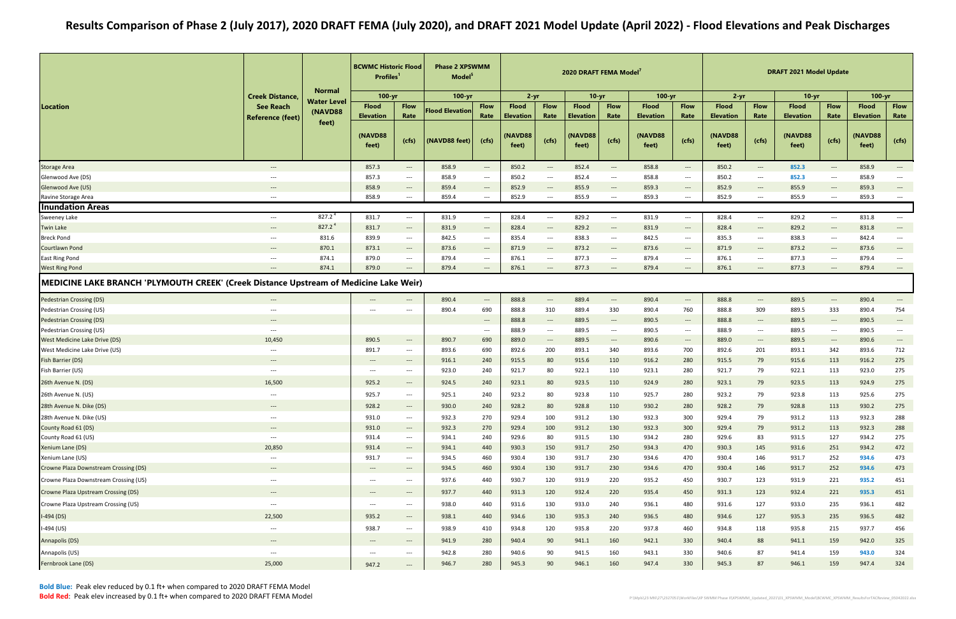|                                                                                       |                                          | <b>Normal</b>      | <b>BCWMC Historic Flood</b><br>Profiles <sup>1</sup> |                                                               | <b>Phase 2 XPSWMM</b><br>Model <sup>5</sup> |                                                               |                                  |                                  | 2020 DRAFT FEMA Model            |                                                               |                                  |                                                               |                                  |                                                               | <b>DRAFT 2021 Model Update</b>   |                                          |                                  |                                          |
|---------------------------------------------------------------------------------------|------------------------------------------|--------------------|------------------------------------------------------|---------------------------------------------------------------|---------------------------------------------|---------------------------------------------------------------|----------------------------------|----------------------------------|----------------------------------|---------------------------------------------------------------|----------------------------------|---------------------------------------------------------------|----------------------------------|---------------------------------------------------------------|----------------------------------|------------------------------------------|----------------------------------|------------------------------------------|
|                                                                                       | <b>Creek Distance,</b>                   | <b>Water Level</b> | $100 - yr$                                           |                                                               | 100-yr                                      |                                                               | $2 - yr$                         |                                  | $10 - yr$                        |                                                               | $100 - yr$                       |                                                               | $2 - yr$                         |                                                               | $10 - yr$                        |                                          | $100 - yr$                       |                                          |
| Location                                                                              | <b>See Reach</b>                         | <b>(NAVD88)</b>    | <b>Flood</b><br><b>Elevation</b>                     | <b>Flow</b><br>Rate                                           | <b>Flood Elevation</b>                      | <b>Flow</b><br>Rate                                           | <b>Flood</b><br><b>Elevation</b> | <b>Flow</b><br>Rate              | <b>Flood</b><br><b>Elevation</b> | <b>Flow</b><br>Rate                                           | <b>Flood</b><br><b>Elevation</b> | <b>Flow</b><br>Rate                                           | <b>Flood</b><br><b>Elevation</b> | <b>Flow</b><br>Rate                                           | <b>Flood</b><br><b>Elevation</b> | <b>Flow</b><br>Rate                      | <b>Flood</b><br><b>Elevation</b> | <b>Flow</b><br>Rate                      |
|                                                                                       | <b>Reference (feet)</b>                  | feet)              | (NAVD88<br>feet)                                     | (cfs)                                                         | (NAVD88 feet)                               | (cfs)                                                         | (NAVD88<br>feet)                 | (cfs)                            | <b>NAVD88</b><br>feet)           | (cfs)                                                         | (NAVD88<br>feet)                 | (cfs)                                                         | <b>(NAVD88)</b><br>feet)         | (cfs)                                                         | (NAVD88<br>feet)                 | (cfs)                                    | <b>(NAVD88</b><br>feet)          | (cfs)                                    |
| <b>Storage Area</b>                                                                   | $---$                                    |                    | 857.3                                                | $\hspace{0.1em} \dashrightarrow$                              | 858.9                                       | $\hspace{0.05cm} \cdots$                                      | 850.2                            | $\hspace{0.1em} \dashrightarrow$ | 852.4                            | $\hspace{0.05cm}---$                                          | 858.8                            | $\hspace{0.1em} \dashrightarrow$                              | 850.2                            | $\hspace{0.1em} \dashrightarrow$                              | 852.3                            | $\hspace{0.05cm} \dashrightarrow$        | 858.9                            | $\hspace{0.05cm} \ldots$                 |
| Glenwood Ave (DS)                                                                     | $---$                                    |                    | 857.3                                                | $\hspace{0.05cm} \dashrightarrow$                             | 858.9                                       | $\hspace{0.05cm} \ldots \hspace{0.05cm}$                      | 850.2                            | $---$                            | 852.4                            | $--$                                                          | 858.8                            | $\hspace{0.05cm} \ldots$                                      | 850.2                            | $\hspace{0.05cm} \dashrightarrow$                             | 852.3                            | $\hspace{0.05cm} \ldots \hspace{0.05cm}$ | 858.9                            | $---$                                    |
| Glenwood Ave (US)                                                                     | $\hspace{0.05cm} \dashrightarrow$        |                    | 858.9                                                | $\hspace{0.05cm} \dashrightarrow$                             | 859.4                                       | $\hspace{0.1em}-\hspace{0.1em}-\hspace{0.1em}-\hspace{0.1em}$ | 852.9                            | $\hspace{0.1em} \ldots$          | 855.9                            | $\hspace{0.1em}-\hspace{0.1em}-\hspace{0.1em}-\hspace{0.1em}$ | 859.3                            | $\hspace{0.1em} \dashrightarrow$                              | 852.9                            | $\hspace{0.1em} \dashrightarrow$                              | 855.9                            | $\hspace{0.05cm} \dashrightarrow$        | 859.3                            | $\hspace{0.05cm} \dashrightarrow$        |
| Ravine Storage Area                                                                   | $\hspace{0.05cm}---\hspace{0.05cm}$      |                    | 858.9                                                | $---$                                                         | 859.4                                       | $\hspace{0.05cm} \ldots \hspace{0.05cm}$                      | 852.9                            | $---$                            | 855.9                            | $---$                                                         | 859.3                            | $---$                                                         | 852.9                            | $---$                                                         | 855.9                            | $\hspace{0.05cm} \dashrightarrow$        | 859.3                            | $\hspace{0.05cm} \ldots \hspace{0.05cm}$ |
| <b>Inundation Areas</b>                                                               |                                          |                    |                                                      |                                                               |                                             |                                                               |                                  |                                  |                                  |                                                               |                                  |                                                               |                                  |                                                               |                                  |                                          |                                  |                                          |
| Sweeney Lake                                                                          | $\hspace{0.05cm}---\hspace{0.05cm}$      | 827.2 <sup>4</sup> | 831.7                                                | $---$                                                         | 831.9                                       | $\hspace{0.05cm} \ldots$                                      | 828.4                            | $\hspace{0.1em} \ldots$          | 829.2                            | $\hspace{0.05cm} \dashrightarrow$                             | 831.9                            | $\hspace{0.05cm} \ldots \hspace{0.05cm}$                      | 828.4                            | $\hspace{0.05cm} \dashrightarrow$                             | 829.2                            | $\hspace{0.05cm} \ldots \hspace{0.05cm}$ | 831.8                            | $\hspace{0.05cm} \ldots$                 |
| <b>Twin Lake</b>                                                                      | $\qquad \qquad - -$                      | 827.2 <sup>4</sup> | 831.7                                                | $\hspace{0.05cm} \dashrightarrow$                             | 831.9                                       | $\hspace{0.05cm} \dashrightarrow$                             | 828.4                            | $---$                            | 829.2                            | $\hspace{0.1em}-\hspace{0.1em}-\hspace{0.1em}-\hspace{0.1em}$ | 831.9                            | $\hspace{0.05cm} \ldots \hspace{0.05cm}$                      | 828.4                            | $\hspace{0.1em}-\hspace{0.1em}-\hspace{0.1em}-\hspace{0.1em}$ | 829.2                            | $\hspace{0.05cm} \ldots \hspace{0.05cm}$ | 831.8                            | $\hspace{0.05cm} \dashrightarrow$        |
| Breck Pond                                                                            | $\hspace{0.05cm} \ldots \hspace{0.05cm}$ | 831.6              | 839.9                                                | $\hspace{0.05cm} \dashrightarrow$                             | 842.5                                       | $\hspace{0.05cm} \ldots \hspace{0.05cm}$                      | 835.4                            | $---$                            | 838.3                            | $--$                                                          | 842.5                            | $\hspace{0.05cm} \ldots$                                      | 835.3                            | $\hspace{0.05cm} \dashrightarrow$                             | 838.3                            | $\hspace{0.05cm} \ldots \hspace{0.05cm}$ | 842.4                            | $\hspace{0.05cm} \ldots$                 |
| Courtlawn Pond                                                                        | $\qquad \qquad - -$                      | 870.1              | 873.1                                                | $\hspace{0.1em} \dashrightarrow$                              | 873.6                                       | $---$                                                         | 871.9                            | $\hspace{0.1em} \ldots$          | 873.2                            | $\hspace{0.1em}-\hspace{0.1em}-\hspace{0.1em}-\hspace{0.1em}$ | 873.6                            | $\hspace{0.1em} \dashrightarrow$                              | 871.9                            | $\hspace{0.1em} \dashrightarrow$                              | 873.2                            | $---$                                    | 873.6                            | $\hspace{0.05cm} \dashrightarrow$        |
| <b>East Ring Pond</b>                                                                 | $\hspace{0.05cm} \ldots \hspace{0.05cm}$ | 874.1              | 879.0                                                | $--$                                                          | 879.4                                       | $\hspace{0.05cm} \ldots \hspace{0.05cm}$                      | 876.1                            | $---$                            | 877.3                            | $--$                                                          | 879.4                            | $\hspace{0.05cm} \ldots \hspace{0.05cm}$                      | 876.1                            | $\hspace{0.05cm} \cdots$                                      | 877.3                            | $\hspace{0.05cm} \ldots \hspace{0.05cm}$ | 879.4                            | $\hspace{0.05cm} \ldots \hspace{0.05cm}$ |
| <b>West Ring Pond</b>                                                                 | $\qquad \qquad - -$                      | 874.1              | 879.0                                                | $\hspace{0.05cm} \ldots \hspace{0.05cm}$                      | 879.4                                       | $\hspace{0.05cm} \dashrightarrow$                             | 876.1                            | $---$                            | 877.3                            | $---$                                                         | 879.4                            | $---$                                                         | 876.1                            | $\hspace{0.05cm} \ldots$                                      | 877.3                            | $\qquad \qquad - - -$                    | 879.4                            | $\hspace{0.05cm} \dashrightarrow$        |
| MEDICINE LAKE BRANCH 'PLYMOUTH CREEK' (Creek Distance Upstream of Medicine Lake Weir) |                                          |                    |                                                      |                                                               |                                             |                                                               |                                  |                                  |                                  |                                                               |                                  |                                                               |                                  |                                                               |                                  |                                          |                                  |                                          |
| <b>Pedestrian Crossing (DS)</b>                                                       | $\hspace{0.05cm} \ldots \hspace{0.05cm}$ |                    | $\hspace{0.05cm} \dashrightarrow$                    | $\hspace{0.1em}-\hspace{0.1em}-\hspace{0.1em}-\hspace{0.1em}$ | 890.4                                       | $\hspace{0.1em} \dashrightarrow \hspace{0.1em}$               | 888.8                            | $\hspace{0.1em} \dashrightarrow$ | 889.4                            | $\hspace{0.1em}-\hspace{0.1em}-\hspace{0.1em}-\hspace{0.1em}$ | 890.4                            | $\hspace{0.1em}-\hspace{0.1em}-\hspace{0.1em}-\hspace{0.1em}$ | 888.8                            | $\hspace{0.1em} \dashrightarrow$                              | 889.5                            | $\hspace{0.05cm} \dashrightarrow$        | 890.4                            | $\hspace{0.05cm} \dashrightarrow$        |
| Pedestrian Crossing (US)                                                              | $---$                                    |                    | $\overline{\phantom{a}}$                             | $\hspace{0.05cm} \ldots \hspace{0.05cm}$                      | 890.4                                       | 690                                                           | 888.8                            | 310                              | 889.4                            | 330                                                           | 890.4                            | 760                                                           | 888.8                            | 309                                                           | 889.5                            | 333                                      | 890.4                            | 754                                      |
| <b>Pedestrian Crossing (DS)</b>                                                       | $---$                                    |                    |                                                      |                                                               |                                             | $\hspace{0.05cm} \dashrightarrow$                             | 888.8                            | $---$                            | 889.5                            | $\hspace{0.05cm} \ldots$                                      | 890.5                            | $\hspace{0.1em} \dashrightarrow$                              | 888.8                            | $\hspace{0.1em} \dashrightarrow$                              | 889.5                            | $\hspace{0.05cm} \dashrightarrow$        | 890.5                            | $\hspace{0.05cm} \dashrightarrow$        |
| Pedestrian Crossing (US)                                                              | $\hspace{0.05cm} \ldots \hspace{0.05cm}$ |                    |                                                      |                                                               |                                             | $\hspace{0.05cm} \ldots \hspace{0.05cm}$                      | 888.9                            | $\hspace{0.1em} \dashrightarrow$ | 889.5                            | $\hspace{0.05cm} \ldots \hspace{0.05cm}$                      | 890.5                            | $\hspace{0.05cm} \ldots \hspace{0.05cm}$                      | 888.9                            | $\hspace{0.05cm} \dashrightarrow$                             | 889.5                            | $\hspace{0.05cm} \ldots \hspace{0.05cm}$ | 890.5                            | $\hspace{0.05cm} \ldots$                 |
| West Medicine Lake Drive (DS)                                                         | 10,450                                   |                    | 890.5                                                | $\hspace{0.1em}-\hspace{0.1em}-\hspace{0.1em}-\hspace{0.1em}$ | 890.7                                       | 690                                                           | 889.0                            | $---$                            | 889.5                            | $\hspace{0.1em}-\hspace{0.1em}-\hspace{0.1em}-\hspace{0.1em}$ | 890.6                            | $\hspace{0.1em}-\hspace{0.1em}-\hspace{0.1em}-\hspace{0.1em}$ | 889.0                            | $---$                                                         | 889.5                            | $---$                                    | 890.6                            | $\hspace{0.05cm} \dashrightarrow$        |
| West Medicine Lake Drive (US)                                                         | $\hspace{0.05cm} \ldots \hspace{0.05cm}$ |                    | 891.7                                                | $---$                                                         | 893.6                                       | 690                                                           | 892.6                            | 200                              | 893.1                            | 340                                                           | 893.6                            | 700                                                           | 892.6                            | 201                                                           | 893.1                            | 342                                      | 893.6                            | 712                                      |
| Fish Barrier (DS)                                                                     | $---$                                    |                    | $\hspace{0.05cm} \dashrightarrow$                    | $\hspace{0.05cm} \dashrightarrow$                             | 916.1                                       | 240                                                           | 915.5                            | 80                               | 915.6                            | 110                                                           | 916.2                            | 280                                                           | 915.5                            | 79                                                            | 915.6                            | 113                                      | 916.2                            | 275                                      |
| Fish Barrier (US)                                                                     | $---$                                    |                    | $---$                                                | $\hspace{0.05cm} \ldots$                                      | 923.0                                       | 240                                                           | 921.7                            | 80                               | 922.1                            | 110                                                           | 923.1                            | 280                                                           | 921.7                            | 79                                                            | 922.1                            | 113                                      | 923.0                            | 275                                      |
| 26th Avenue N. (DS)                                                                   | 16,500                                   |                    | 925.2                                                | $\hspace{0.05cm} \cdots$                                      | 924.5                                       | 240                                                           | 923.1                            | 80                               | 923.5                            | 110                                                           | 924.9                            | 280                                                           | 923.1                            | 79                                                            | 923.5                            | 113                                      | 924.9                            | 275                                      |
| 26th Avenue N. (US)                                                                   | $---$                                    |                    | 925.7                                                | $\hspace{0.05cm} \ldots \hspace{0.05cm}$                      | 925.1                                       | 240                                                           | 923.2                            | 80                               | 923.8                            | 110                                                           | 925.7                            | 280                                                           | 923.2                            | 79                                                            | 923.8                            | 113                                      | 925.6                            | 275                                      |
| 28th Avenue N. Dike (DS)                                                              | $---$                                    |                    | 928.2                                                | $\hspace{0.1em}-\hspace{0.1em}-\hspace{0.1em}-\hspace{0.1em}$ | 930.0                                       | 240                                                           | 928.2                            | 80                               | 928.8                            | 110                                                           | 930.2                            | 280                                                           | 928.2                            | 79                                                            | 928.8                            | 113                                      | 930.2                            | 275                                      |
| 28th Avenue N. Dike (US)                                                              | $\qquad \qquad -\qquad -$                |                    | 931.0                                                | $\hspace{0.05cm} \dashrightarrow$                             | 932.3                                       | 270                                                           | 929.4                            | 100                              | 931.2                            | 130                                                           | 932.3                            | 300                                                           | 929.4                            | 79                                                            | 931.2                            | 113                                      | 932.3                            | 288                                      |
| County Road 61 (DS)                                                                   | $---$                                    |                    | 931.0                                                | $\hspace{0.1em}-\hspace{0.1em}-\hspace{0.1em}-\hspace{0.1em}$ | 932.3                                       | 270                                                           | 929.4                            | 100                              | 931.2                            | 130                                                           | 932.3                            | 300                                                           | 929.4                            | 79                                                            | 931.2                            | 113                                      | 932.3                            | 288                                      |
| County Road 61 (US)                                                                   | $\hspace{0.05cm} \cdots$                 |                    | 931.4                                                | $\hspace{0.05cm} \dashrightarrow$                             | 934.1                                       | 240                                                           | 929.6                            | 80                               | 931.5                            | 130                                                           | 934.2                            | 280                                                           | 929.6                            | 83                                                            | 931.5                            | 127                                      | 934.2                            | 275                                      |
| Xenium Lane (DS)                                                                      | 20,850                                   |                    | 931.4                                                | $\hspace{0.05cm} \dashrightarrow$                             | 934.1                                       | 440                                                           | 930.3                            | 150                              | 931.7                            | 250                                                           | 934.3                            | 470                                                           | 930.3                            | 145                                                           | 931.6                            | 251                                      | 934.2                            | 472                                      |
| Xenium Lane (US)                                                                      | $\hspace{0.05cm} \cdots$                 |                    | 931.7                                                | $\hspace{0.05cm} \dashrightarrow$                             | 934.5                                       | 460                                                           | 930.4                            | 130                              | 931.7                            | 230                                                           | 934.6                            | 470                                                           | 930.4                            | 146                                                           | 931.7                            | 252                                      | 934.6                            | 473                                      |
| Crowne Plaza Downstream Crossing (DS)                                                 | $\hspace{0.05cm} \cdots$                 |                    | $\hspace{0.05cm} \dashrightarrow$                    | $\hspace{0.05cm} \dashrightarrow$                             | 934.5                                       | 460                                                           | 930.4                            | 130                              | 931.7                            | 230                                                           | 934.6                            | 470                                                           | 930.4                            | 146                                                           | 931.7                            | 252                                      | 934.6                            | 473                                      |
| Crowne Plaza Downstream Crossing (US)                                                 | $\hspace{0.05cm} \dashrightarrow$        |                    | $\hspace{0.05cm} \dashrightarrow$                    | $\hspace{0.05cm} \dashrightarrow$                             | 937.6                                       | 440                                                           | 930.7                            | 120                              | 931.9                            | 220                                                           | 935.2                            | 450                                                           | 930.7                            | 123                                                           | 931.9                            | 221                                      | 935.2                            | 451                                      |
| Crowne Plaza Upstream Crossing (DS)                                                   | $\hspace{0.05cm} \ldots \hspace{0.05cm}$ |                    | $\hspace{0.05cm} \dashrightarrow$                    | $\hspace{0.1em}-\hspace{0.1em}-\hspace{0.1em}-\hspace{0.1em}$ | 937.7                                       | 440                                                           | 931.3                            | 120                              | 932.4                            | 220                                                           | 935.4                            | 450                                                           | 931.3                            | 123                                                           | 932.4                            | 221                                      | 935.3                            | 451                                      |
| Crowne Plaza Upstream Crossing (US)                                                   | $\hspace{0.05cm} \dashrightarrow$        |                    | $\hspace{0.05cm} \ldots$                             | $--$                                                          | 938.0                                       | 440                                                           | 931.6                            | 130                              | 933.0                            | 240                                                           | 936.1                            | 480                                                           | 931.6                            | 127                                                           | 933.0                            | 235                                      | 936.1                            | 482                                      |
| I-494 (DS)                                                                            | 22,500                                   |                    | 935.2                                                | $\hspace{0.05cm} \dashrightarrow$                             | 938.1                                       | 440                                                           | 934.6                            | 130                              | 935.3                            | 240                                                           | 936.5                            | 480                                                           | 934.6                            | 127                                                           | 935.3                            | 235                                      | 936.5                            | 482                                      |
| I-494 (US)                                                                            | ---                                      |                    | 938.7                                                | $\hspace{0.05cm} \dashrightarrow$                             | 938.9                                       | 410                                                           | 934.8                            | 120                              | 935.8                            | 220                                                           | 937.8                            | 460                                                           | 934.8                            | 118                                                           | 935.8                            | 215                                      | 937.7                            | 456                                      |
| Annapolis (DS)                                                                        | $\hspace{0.05cm} \cdots$                 |                    | $\hspace{0.05cm} \dashrightarrow$                    | $\hspace{0.05cm} \dashrightarrow$                             | 941.9                                       | 280                                                           | 940.4                            | 90                               | 941.1                            | 160                                                           | 942.1                            | 330                                                           | 940.4                            | 88                                                            | 941.1                            | 159                                      | 942.0                            | 325                                      |
| Annapolis (US)                                                                        | $\hspace{0.05cm} \dashrightarrow$        |                    | ---                                                  | $\hspace{0.05cm} \dashrightarrow$                             | 942.8                                       | 280                                                           | 940.6                            | 90                               | 941.5                            | 160                                                           | 943.1                            | 330                                                           | 940.6                            | 87                                                            | 941.4                            | 159                                      | 943.0                            | 324                                      |
| Fernbrook Lane (DS)                                                                   | 25,000                                   |                    | 947.2                                                | $\hspace{0.1em}-\hspace{0.1em}-\hspace{0.1em}-\hspace{0.1em}$ | 946.7                                       | 280                                                           | 945.3                            | 90                               | 946.1                            | 160                                                           | 947.4                            | 330                                                           | 945.3                            | 87                                                            | 946.1                            | 159                                      | 947.4                            | 324                                      |